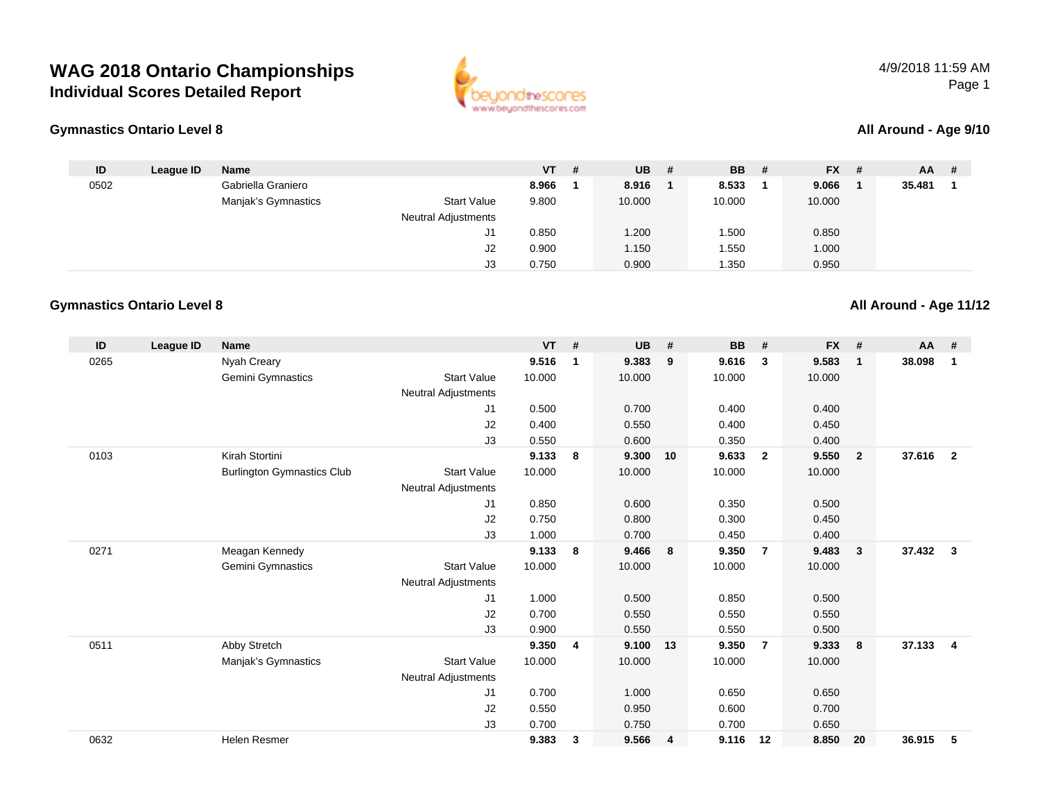



#### **All Around - Age 9/10**

| ID   | League ID | <b>Name</b>         |                            | $VT$ # | <b>UB</b> | - # | <b>BB</b> | # | <b>FX</b> | # | <b>AA</b> | -# |
|------|-----------|---------------------|----------------------------|--------|-----------|-----|-----------|---|-----------|---|-----------|----|
| 0502 |           | Gabriella Graniero  |                            | 8.966  | 8.916     |     | 8.533     |   | 9.066     |   | 35.481    |    |
|      |           | Manjak's Gymnastics | <b>Start Value</b>         | 9.800  | 10.000    |     | 10.000    |   | 10.000    |   |           |    |
|      |           |                     | <b>Neutral Adjustments</b> |        |           |     |           |   |           |   |           |    |
|      |           |                     | J1                         | 0.850  | .200      |     | 1.500     |   | 0.850     |   |           |    |
|      |           |                     | J2                         | 0.900  | 1.150     |     | 1.550     |   | 1.000     |   |           |    |
|      |           |                     | J3                         | 0.750  | 0.900     |     | 1.350     |   | 0.950     |   |           |    |

### **Gymnastics Ontario Level 8**

| ID   | League ID | <b>Name</b>                       |                     | <b>VT</b> | #              | <b>UB</b> | #              | <b>BB</b> | #              | <b>FX</b> | #              | AA     | #              |
|------|-----------|-----------------------------------|---------------------|-----------|----------------|-----------|----------------|-----------|----------------|-----------|----------------|--------|----------------|
| 0265 |           | Nyah Creary                       |                     | 9.516     | $\mathbf 1$    | 9.383     | 9              | 9.616     | 3              | 9.583     | $\mathbf{1}$   | 38.098 | $\mathbf 1$    |
|      |           | Gemini Gymnastics                 | <b>Start Value</b>  | 10.000    |                | 10.000    |                | 10.000    |                | 10.000    |                |        |                |
|      |           |                                   | Neutral Adjustments |           |                |           |                |           |                |           |                |        |                |
|      |           |                                   | J <sub>1</sub>      | 0.500     |                | 0.700     |                | 0.400     |                | 0.400     |                |        |                |
|      |           |                                   | J <sub>2</sub>      | 0.400     |                | 0.550     |                | 0.400     |                | 0.450     |                |        |                |
|      |           |                                   | J3                  | 0.550     |                | 0.600     |                | 0.350     |                | 0.400     |                |        |                |
| 0103 |           | Kirah Stortini                    |                     | 9.133     | 8              | 9.300     | 10             | 9.633     | $\overline{2}$ | 9.550     | $\overline{2}$ | 37.616 | $\overline{2}$ |
|      |           | <b>Burlington Gymnastics Club</b> | <b>Start Value</b>  | 10.000    |                | 10.000    |                | 10.000    |                | 10.000    |                |        |                |
|      |           |                                   | Neutral Adjustments |           |                |           |                |           |                |           |                |        |                |
|      |           |                                   | J1                  | 0.850     |                | 0.600     |                | 0.350     |                | 0.500     |                |        |                |
|      |           |                                   | J2                  | 0.750     |                | 0.800     |                | 0.300     |                | 0.450     |                |        |                |
|      |           |                                   | J3                  | 1.000     |                | 0.700     |                | 0.450     |                | 0.400     |                |        |                |
| 0271 |           | Meagan Kennedy                    |                     | 9.133     | 8              | 9.466     | 8              | 9.350     | $\overline{7}$ | 9.483     | $\mathbf{3}$   | 37.432 | $\mathbf{3}$   |
|      |           | Gemini Gymnastics                 | <b>Start Value</b>  | 10.000    |                | 10.000    |                | 10.000    |                | 10.000    |                |        |                |
|      |           |                                   | Neutral Adjustments |           |                |           |                |           |                |           |                |        |                |
|      |           |                                   | J <sub>1</sub>      | 1.000     |                | 0.500     |                | 0.850     |                | 0.500     |                |        |                |
|      |           |                                   | J2                  | 0.700     |                | 0.550     |                | 0.550     |                | 0.550     |                |        |                |
|      |           |                                   | J3                  | 0.900     |                | 0.550     |                | 0.550     |                | 0.500     |                |        |                |
| 0511 |           | Abby Stretch                      |                     | 9.350     | $\overline{4}$ | 9.100     | 13             | 9.350     | $\overline{7}$ | 9.333     | 8              | 37.133 | $\overline{4}$ |
|      |           | Manjak's Gymnastics               | <b>Start Value</b>  | 10.000    |                | 10.000    |                | 10.000    |                | 10.000    |                |        |                |
|      |           |                                   | Neutral Adjustments |           |                |           |                |           |                |           |                |        |                |
|      |           |                                   | J <sub>1</sub>      | 0.700     |                | 1.000     |                | 0.650     |                | 0.650     |                |        |                |
|      |           |                                   | J2                  | 0.550     |                | 0.950     |                | 0.600     |                | 0.700     |                |        |                |
|      |           |                                   | J3                  | 0.700     |                | 0.750     |                | 0.700     |                | 0.650     |                |        |                |
| 0632 |           | <b>Helen Resmer</b>               |                     | 9.383     | $\mathbf{3}$   | 9.566     | $\overline{4}$ | 9.116     | 12             | 8.850     | 20             | 36.915 | 5              |

#### **All Around - Age 11/12**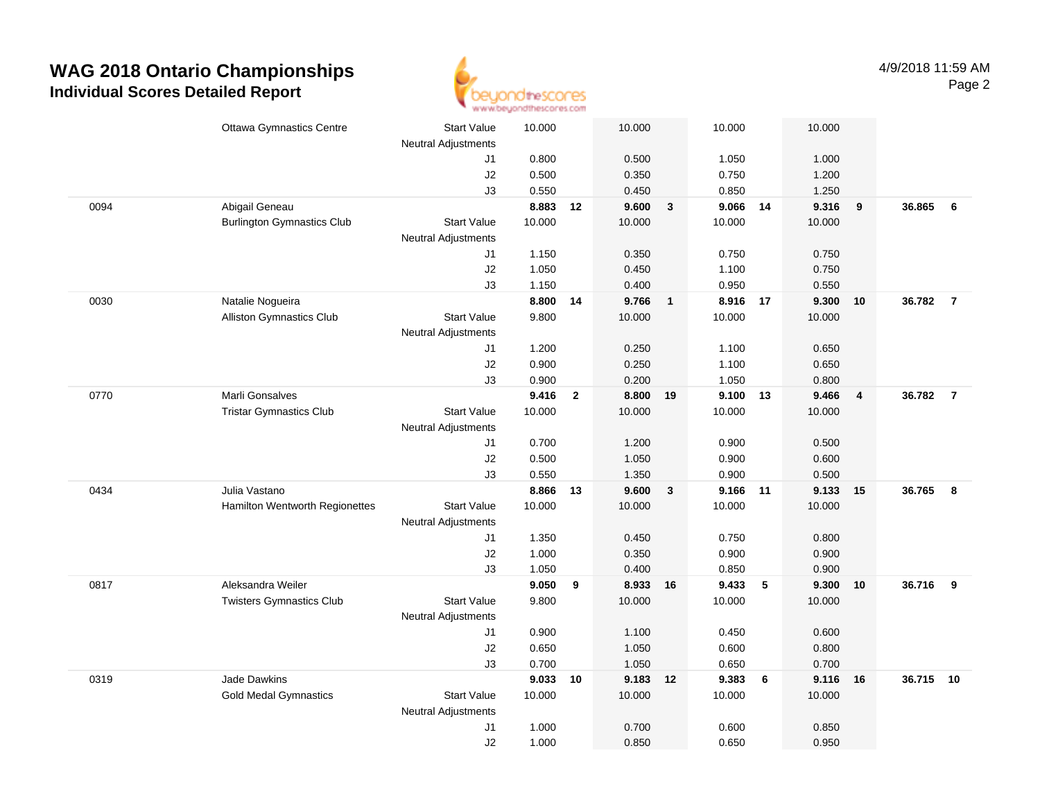

|      | <b>Ottawa Gymnastics Centre</b>   | <b>Start Value</b>         | 10.000         |                | 10.000   |                         | 10.000         |       | 10.000         |                         |          |                |
|------|-----------------------------------|----------------------------|----------------|----------------|----------|-------------------------|----------------|-------|----------------|-------------------------|----------|----------------|
|      |                                   | Neutral Adjustments        |                |                |          |                         |                |       |                |                         |          |                |
|      |                                   | J1                         | 0.800          |                | 0.500    |                         | 1.050          |       | 1.000          |                         |          |                |
|      |                                   | J2                         | 0.500          |                | 0.350    |                         | 0.750          |       | 1.200          |                         |          |                |
|      |                                   | J3                         | 0.550          |                | 0.450    |                         | 0.850          |       | 1.250          |                         |          |                |
| 0094 | Abigail Geneau                    |                            | 8.883          | 12             | 9.600    | $\overline{\mathbf{3}}$ | 9.066 14       |       | 9.316          | 9                       | 36.865   | 6              |
|      | <b>Burlington Gymnastics Club</b> | <b>Start Value</b>         | 10.000         |                | 10.000   |                         | 10.000         |       | 10.000         |                         |          |                |
|      |                                   | <b>Neutral Adjustments</b> |                |                |          |                         |                |       |                |                         |          |                |
|      |                                   | J1                         | 1.150          |                | 0.350    |                         | 0.750          |       | 0.750          |                         |          |                |
|      |                                   | J2                         | 1.050          |                | 0.450    |                         | 1.100          |       | 0.750          |                         |          |                |
|      |                                   | J3                         | 1.150          |                | 0.400    |                         | 0.950          |       | 0.550          |                         |          |                |
| 0030 | Natalie Nogueira                  |                            | 8.800          | 14             | 9.766    | $\overline{\mathbf{1}}$ | 8.916          | 17    | 9.300          | 10                      | 36.782   | $\overline{7}$ |
|      | <b>Alliston Gymnastics Club</b>   | <b>Start Value</b>         | 9.800          |                | 10.000   |                         | 10.000         |       | 10.000         |                         |          |                |
|      |                                   | <b>Neutral Adjustments</b> |                |                |          |                         |                |       |                |                         |          |                |
|      |                                   | J1                         | 1.200          |                | 0.250    |                         | 1.100          |       | 0.650          |                         |          |                |
|      |                                   | J2                         | 0.900          |                | 0.250    |                         | 1.100          |       | 0.650          |                         |          |                |
|      |                                   | J3                         | 0.900          |                | 0.200    |                         | 1.050          |       | 0.800          |                         |          |                |
| 0770 | Marli Gonsalves                   |                            | 9.416          | $\overline{2}$ | 8.800 19 |                         | 9.100          | 13    | 9.466          | $\overline{\mathbf{4}}$ | 36.782   | $\overline{7}$ |
|      | <b>Tristar Gymnastics Club</b>    | <b>Start Value</b>         | 10.000         |                | 10.000   |                         | 10.000         |       | 10.000         |                         |          |                |
|      |                                   | <b>Neutral Adjustments</b> |                |                |          |                         |                |       |                |                         |          |                |
|      |                                   | J1                         | 0.700          |                | 1.200    |                         | 0.900          |       | 0.500          |                         |          |                |
|      |                                   | J2                         | 0.500          |                | 1.050    |                         | 0.900          |       | 0.600          |                         |          |                |
|      |                                   | J3                         | 0.550          |                | 1.350    |                         | 0.900          |       | 0.500          |                         |          |                |
| 0434 | Julia Vastano                     |                            | 8.866          | 13             | 9.600    | $\mathbf{3}$            | 9.166          | 11    | 9.133          | 15                      | 36.765   | 8              |
|      | Hamilton Wentworth Regionettes    | <b>Start Value</b>         | 10.000         |                | 10.000   |                         | 10.000         |       | 10.000         |                         |          |                |
|      |                                   | <b>Neutral Adjustments</b> |                |                | 0.450    |                         |                |       |                |                         |          |                |
|      |                                   | J1<br>J2                   | 1.350<br>1.000 |                | 0.350    |                         | 0.750<br>0.900 |       | 0.800<br>0.900 |                         |          |                |
|      |                                   | J3                         | 1.050          |                | 0.400    |                         | 0.850          |       | 0.900          |                         |          |                |
| 0817 | Aleksandra Weiler                 |                            | 9.050          | 9              | 8.933 16 |                         | 9.433          | $5\,$ | 9.300          | 10                      | 36.716 9 |                |
|      | <b>Twisters Gymnastics Club</b>   | <b>Start Value</b>         | 9.800          |                | 10.000   |                         | 10.000         |       | 10.000         |                         |          |                |
|      |                                   | <b>Neutral Adjustments</b> |                |                |          |                         |                |       |                |                         |          |                |
|      |                                   | J1                         | 0.900          |                | 1.100    |                         | 0.450          |       | 0.600          |                         |          |                |
|      |                                   | J2                         | 0.650          |                | 1.050    |                         | 0.600          |       | 0.800          |                         |          |                |
|      |                                   | J3                         | 0.700          |                | 1.050    |                         | 0.650          |       | 0.700          |                         |          |                |
| 0319 | Jade Dawkins                      |                            | 9.033          | 10             | 9.183 12 |                         | 9.383          | 6     | 9.116          | - 16                    | 36.715   | 10             |
|      | <b>Gold Medal Gymnastics</b>      | Start Value                | 10.000         |                | 10.000   |                         | 10.000         |       | 10.000         |                         |          |                |
|      |                                   | <b>Neutral Adjustments</b> |                |                |          |                         |                |       |                |                         |          |                |
|      |                                   | J1                         | 1.000          |                | 0.700    |                         | 0.600          |       | 0.850          |                         |          |                |
|      |                                   | J2                         | 1.000          |                | 0.850    |                         | 0.650          |       | 0.950          |                         |          |                |
|      |                                   |                            |                |                |          |                         |                |       |                |                         |          |                |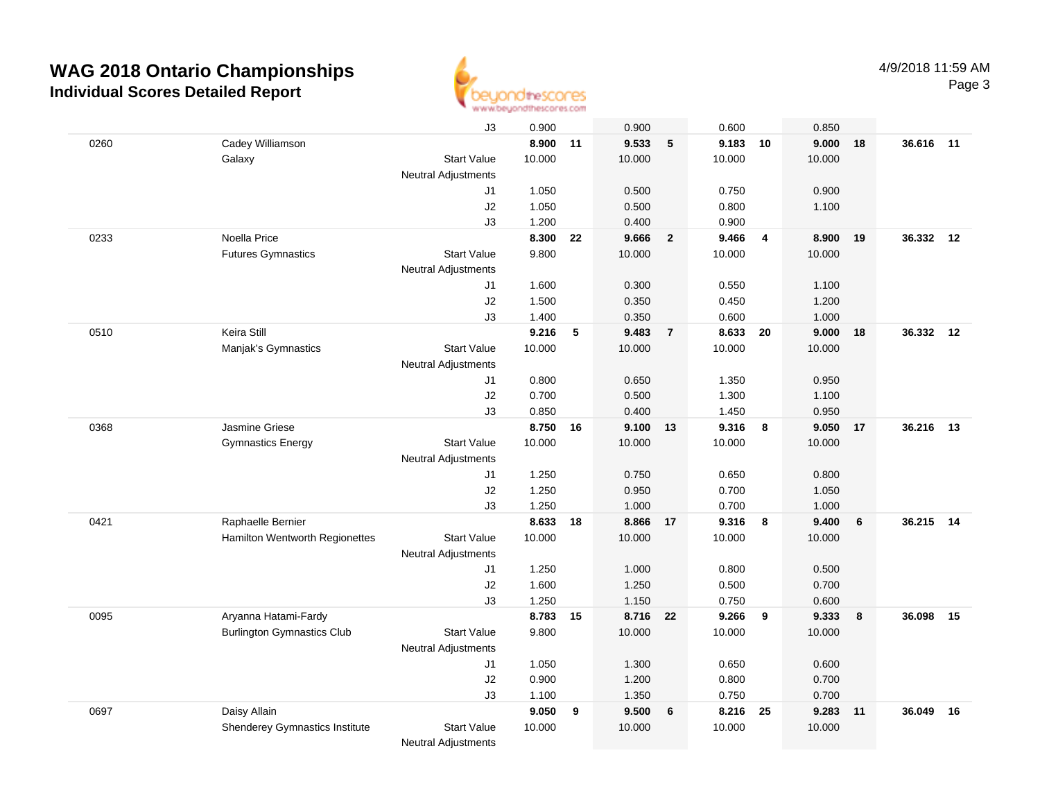

|      |                                   | J3                         | 0.900    |    | 0.900    |                | 0.600    |                         | 0.850  |    |           |    |
|------|-----------------------------------|----------------------------|----------|----|----------|----------------|----------|-------------------------|--------|----|-----------|----|
| 0260 | Cadey Williamson                  |                            | 8.900    | 11 | 9.533    | 5              | 9.183 10 |                         | 9.000  | 18 | 36.616 11 |    |
|      | Galaxy                            | <b>Start Value</b>         | 10.000   |    | 10.000   |                | 10.000   |                         | 10.000 |    |           |    |
|      |                                   | <b>Neutral Adjustments</b> |          |    |          |                |          |                         |        |    |           |    |
|      |                                   | J1                         | 1.050    |    | 0.500    |                | 0.750    |                         | 0.900  |    |           |    |
|      |                                   | J2                         | 1.050    |    | 0.500    |                | 0.800    |                         | 1.100  |    |           |    |
|      |                                   | J3                         | 1.200    |    | 0.400    |                | 0.900    |                         |        |    |           |    |
| 0233 | Noella Price                      |                            | 8.300    | 22 | 9.666    | $\overline{2}$ | 9.466    | $\overline{4}$          | 8.900  | 19 | 36.332    | 12 |
|      | <b>Futures Gymnastics</b>         | <b>Start Value</b>         | 9.800    |    | 10.000   |                | 10.000   |                         | 10.000 |    |           |    |
|      |                                   | <b>Neutral Adjustments</b> |          |    |          |                |          |                         |        |    |           |    |
|      |                                   | J1                         | 1.600    |    | 0.300    |                | 0.550    |                         | 1.100  |    |           |    |
|      |                                   | J2                         | 1.500    |    | 0.350    |                | 0.450    |                         | 1.200  |    |           |    |
|      |                                   | J3                         | 1.400    |    | 0.350    |                | 0.600    |                         | 1.000  |    |           |    |
| 0510 | Keira Still                       |                            | 9.216    | 5  | 9.483    | $\overline{7}$ | 8.633    | 20                      | 9.000  | 18 | 36.332    | 12 |
|      | Manjak's Gymnastics               | <b>Start Value</b>         | 10.000   |    | 10.000   |                | 10.000   |                         | 10.000 |    |           |    |
|      |                                   | <b>Neutral Adjustments</b> |          |    |          |                |          |                         |        |    |           |    |
|      |                                   | J1                         | 0.800    |    | 0.650    |                | 1.350    |                         | 0.950  |    |           |    |
|      |                                   | J2                         | 0.700    |    | 0.500    |                | 1.300    |                         | 1.100  |    |           |    |
|      |                                   | J3                         | 0.850    |    | 0.400    |                | 1.450    |                         | 0.950  |    |           |    |
| 0368 | Jasmine Griese                    |                            | 8.750    | 16 | 9.100 13 |                | 9.316    | $\overline{\mathbf{8}}$ | 9.050  | 17 | 36.216    | 13 |
|      | <b>Gymnastics Energy</b>          | <b>Start Value</b>         | 10.000   |    | 10.000   |                | 10.000   |                         | 10.000 |    |           |    |
|      |                                   | <b>Neutral Adjustments</b> |          |    |          |                |          |                         |        |    |           |    |
|      |                                   | J1                         | 1.250    |    | 0.750    |                | 0.650    |                         | 0.800  |    |           |    |
|      |                                   | J2                         | 1.250    |    | 0.950    |                | 0.700    |                         | 1.050  |    |           |    |
|      |                                   | J3                         | 1.250    |    | 1.000    |                | 0.700    |                         | 1.000  |    |           |    |
| 0421 | Raphaelle Bernier                 |                            | 8.633    | 18 | 8.866    | 17             | 9.316    | 8                       | 9.400  | 6  | 36.215    | 14 |
|      | Hamilton Wentworth Regionettes    | <b>Start Value</b>         | 10.000   |    | 10.000   |                | 10.000   |                         | 10.000 |    |           |    |
|      |                                   | <b>Neutral Adjustments</b> |          |    |          |                |          |                         |        |    |           |    |
|      |                                   | J1                         | 1.250    |    | 1.000    |                | 0.800    |                         | 0.500  |    |           |    |
|      |                                   | J2                         | 1.600    |    | 1.250    |                | 0.500    |                         | 0.700  |    |           |    |
|      |                                   | J3                         | 1.250    |    | 1.150    |                | 0.750    |                         | 0.600  |    |           |    |
| 0095 | Aryanna Hatami-Fardy              |                            | 8.783 15 |    | 8.716 22 |                | 9.266    | $\overline{\mathbf{9}}$ | 9.333  | 8  | 36.098    | 15 |
|      | <b>Burlington Gymnastics Club</b> | <b>Start Value</b>         | 9.800    |    | 10.000   |                | 10.000   |                         | 10.000 |    |           |    |
|      |                                   | <b>Neutral Adjustments</b> |          |    |          |                |          |                         |        |    |           |    |
|      |                                   | J1                         | 1.050    |    | 1.300    |                | 0.650    |                         | 0.600  |    |           |    |
|      |                                   | J2                         | 0.900    |    | 1.200    |                | 0.800    |                         | 0.700  |    |           |    |
|      |                                   | J3                         | 1.100    |    | 1.350    |                | 0.750    |                         | 0.700  |    |           |    |
| 0697 | Daisy Allain                      |                            | 9.050    | 9  | 9.500    | 6              | 8.216    | 25                      | 9.283  | 11 | 36.049    | 16 |
|      | Shenderey Gymnastics Institute    | <b>Start Value</b>         | 10.000   |    | 10.000   |                | 10.000   |                         | 10.000 |    |           |    |
|      |                                   | <b>Neutral Adjustments</b> |          |    |          |                |          |                         |        |    |           |    |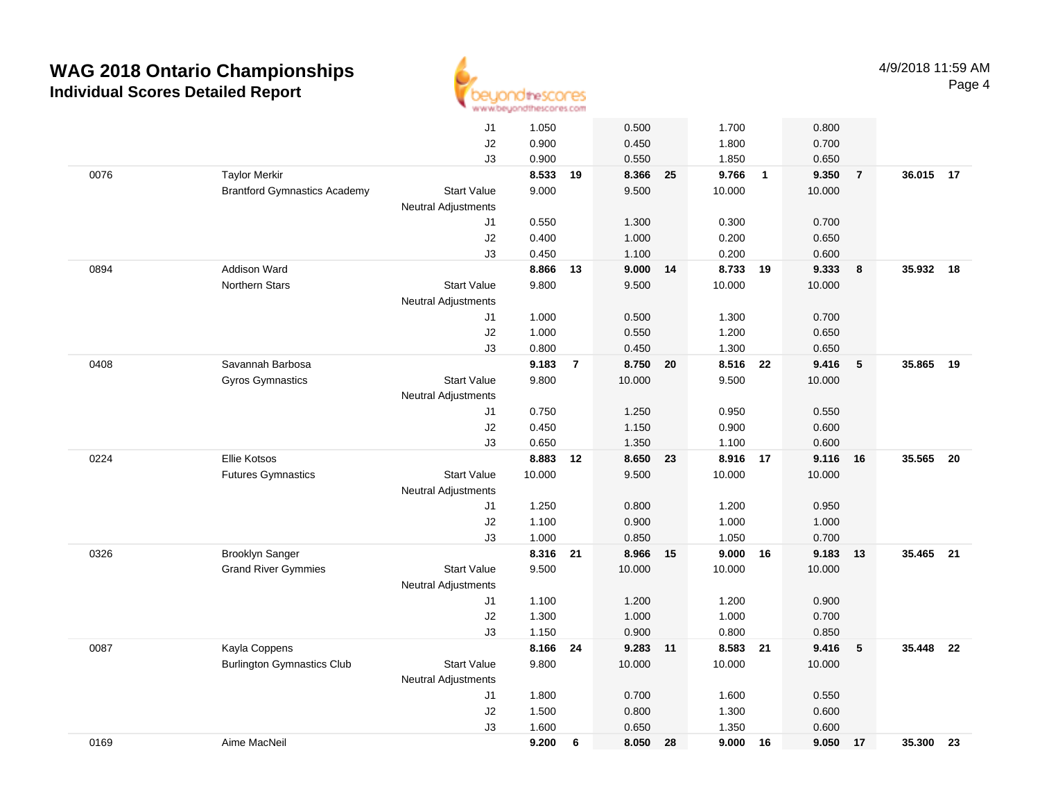

|      |                                     | J1                         | 1.050  |                | 0.500      |    | 1.700    |                | 0.800  |                 |           |     |
|------|-------------------------------------|----------------------------|--------|----------------|------------|----|----------|----------------|--------|-----------------|-----------|-----|
|      |                                     | J2                         | 0.900  |                | 0.450      |    | 1.800    |                | 0.700  |                 |           |     |
|      |                                     | J3                         | 0.900  |                | 0.550      |    | 1.850    |                | 0.650  |                 |           |     |
| 0076 | <b>Taylor Merkir</b>                |                            | 8.533  | 19             | 8.366 25   |    | 9.766    | $\overline{1}$ | 9.350  | $\overline{7}$  | 36.015 17 |     |
|      | <b>Brantford Gymnastics Academy</b> | <b>Start Value</b>         | 9.000  |                | 9.500      |    | 10.000   |                | 10.000 |                 |           |     |
|      |                                     | <b>Neutral Adjustments</b> |        |                |            |    |          |                |        |                 |           |     |
|      |                                     | J1                         | 0.550  |                | 1.300      |    | 0.300    |                | 0.700  |                 |           |     |
|      |                                     | J2                         | 0.400  |                | 1.000      |    | 0.200    |                | 0.650  |                 |           |     |
|      |                                     | J3                         | 0.450  |                | 1.100      |    | 0.200    |                | 0.600  |                 |           |     |
| 0894 | <b>Addison Ward</b>                 |                            | 8.866  | 13             | $9.000$ 14 |    | 8.733    | 19             | 9.333  | 8               | 35.932 18 |     |
|      | Northern Stars                      | <b>Start Value</b>         | 9.800  |                | 9.500      |    | 10.000   |                | 10.000 |                 |           |     |
|      |                                     | <b>Neutral Adjustments</b> |        |                |            |    |          |                |        |                 |           |     |
|      |                                     | J1                         | 1.000  |                | 0.500      |    | 1.300    |                | 0.700  |                 |           |     |
|      |                                     | J2                         | 1.000  |                | 0.550      |    | 1.200    |                | 0.650  |                 |           |     |
|      |                                     | J3                         | 0.800  |                | 0.450      |    | 1.300    |                | 0.650  |                 |           |     |
| 0408 | Savannah Barbosa                    |                            | 9.183  | $\overline{7}$ | 8.750 20   |    | 8.516 22 |                | 9.416  | 5               | 35.865    | 19  |
|      | Gyros Gymnastics                    | <b>Start Value</b>         | 9.800  |                | 10.000     |    | 9.500    |                | 10.000 |                 |           |     |
|      |                                     | <b>Neutral Adjustments</b> |        |                |            |    |          |                |        |                 |           |     |
|      |                                     | J1                         | 0.750  |                | 1.250      |    | 0.950    |                | 0.550  |                 |           |     |
|      |                                     | J2                         | 0.450  |                | 1.150      |    | 0.900    |                | 0.600  |                 |           |     |
|      |                                     | J3                         | 0.650  |                | 1.350      |    | 1.100    |                | 0.600  |                 |           |     |
| 0224 | Ellie Kotsos                        |                            | 8.883  | 12             | 8.650      | 23 | 8.916    | 17             | 9.116  | 16              | 35.565    | 20  |
|      | <b>Futures Gymnastics</b>           | <b>Start Value</b>         | 10.000 |                | 9.500      |    | 10.000   |                | 10.000 |                 |           |     |
|      |                                     | Neutral Adjustments        |        |                |            |    |          |                |        |                 |           |     |
|      |                                     | J1                         | 1.250  |                | 0.800      |    | 1.200    |                | 0.950  |                 |           |     |
|      |                                     | J2                         | 1.100  |                | 0.900      |    | 1.000    |                | 1.000  |                 |           |     |
|      |                                     | J3                         | 1.000  |                | 0.850      |    | 1.050    |                | 0.700  |                 |           |     |
| 0326 | <b>Brooklyn Sanger</b>              |                            | 8.316  | 21             | 8.966 15   |    | 9.000    | 16             | 9.183  | 13              | 35.465    | 21  |
|      | <b>Grand River Gymmies</b>          | <b>Start Value</b>         | 9.500  |                | 10.000     |    | 10.000   |                | 10.000 |                 |           |     |
|      |                                     | <b>Neutral Adjustments</b> |        |                |            |    |          |                |        |                 |           |     |
|      |                                     | J1                         | 1.100  |                | 1.200      |    | 1.200    |                | 0.900  |                 |           |     |
|      |                                     | J2                         | 1.300  |                | 1.000      |    | 1.000    |                | 0.700  |                 |           |     |
|      |                                     | J3                         | 1.150  |                | 0.900      |    | 0.800    |                | 0.850  |                 |           |     |
| 0087 | Kayla Coppens                       |                            | 8.166  | 24             | 9.283 11   |    | 8.583    | 21             | 9.416  | $5\phantom{.0}$ | 35.448    | -22 |
|      | <b>Burlington Gymnastics Club</b>   | <b>Start Value</b>         | 9.800  |                | 10.000     |    | 10.000   |                | 10.000 |                 |           |     |
|      |                                     | Neutral Adjustments        |        |                |            |    |          |                |        |                 |           |     |
|      |                                     | J1                         | 1.800  |                | 0.700      |    | 1.600    |                | 0.550  |                 |           |     |
|      |                                     | $\sf J2$                   | 1.500  |                | 0.800      |    | 1.300    |                | 0.600  |                 |           |     |
|      |                                     | J3                         | 1.600  |                | 0.650      |    | 1.350    |                | 0.600  |                 |           |     |
| 0169 | Aime MacNeil                        |                            | 9.200  | 6              | 8.050      | 28 | 9.000    | 16             | 9.050  | 17              | 35.300    | 23  |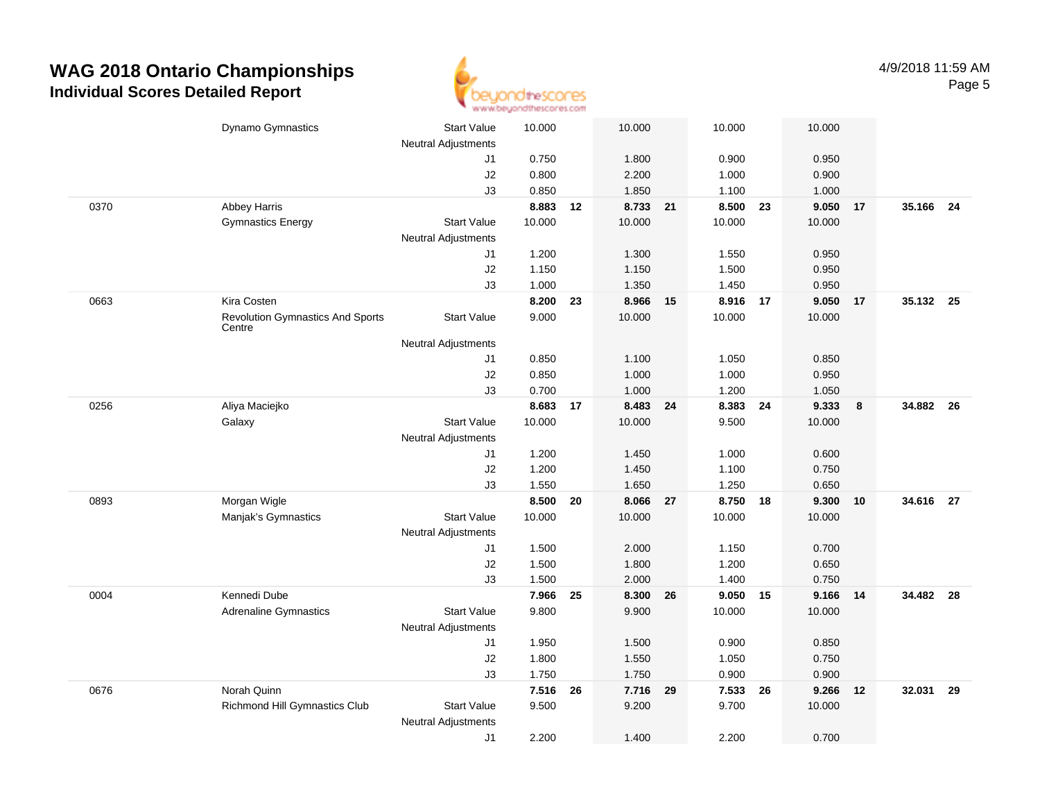

|      | Dynamo Gymnastics                       | <b>Start Value</b>         | 10.000         |    | 10.000            |    | 10.000         |    | 10.000         |    |           |  |
|------|-----------------------------------------|----------------------------|----------------|----|-------------------|----|----------------|----|----------------|----|-----------|--|
|      |                                         | <b>Neutral Adjustments</b> |                |    |                   |    |                |    |                |    |           |  |
|      |                                         | J1                         | 0.750          |    | 1.800             |    | 0.900          |    | 0.950          |    |           |  |
|      |                                         | J2                         | 0.800          |    | 2.200             |    | 1.000          |    | 0.900          |    |           |  |
| 0370 | Abbey Harris                            | J3                         | 0.850<br>8.883 | 12 | 1.850<br>8.733 21 |    | 1.100<br>8.500 | 23 | 1.000<br>9.050 | 17 | 35.166 24 |  |
|      | <b>Gymnastics Energy</b>                | <b>Start Value</b>         | 10.000         |    | 10.000            |    | 10.000         |    | 10.000         |    |           |  |
|      |                                         | <b>Neutral Adjustments</b> |                |    |                   |    |                |    |                |    |           |  |
|      |                                         | J1                         | 1.200          |    | 1.300             |    | 1.550          |    | 0.950          |    |           |  |
|      |                                         | J2                         | 1.150          |    | 1.150             |    | 1.500          |    | 0.950          |    |           |  |
|      |                                         | J3                         | 1.000          |    | 1.350             |    | 1.450          |    | 0.950          |    |           |  |
| 0663 | Kira Costen                             |                            | 8.200          | 23 | 8.966             | 15 | 8.916          | 17 | 9.050          | 17 | 35.132 25 |  |
|      | <b>Revolution Gymnastics And Sports</b> | <b>Start Value</b>         | 9.000          |    | 10.000            |    | 10.000         |    | 10.000         |    |           |  |
|      | Centre                                  |                            |                |    |                   |    |                |    |                |    |           |  |
|      |                                         | <b>Neutral Adjustments</b> |                |    |                   |    |                |    |                |    |           |  |
|      |                                         | J1                         | 0.850          |    | 1.100             |    | 1.050          |    | 0.850          |    |           |  |
|      |                                         | J2                         | 0.850          |    | 1.000             |    | 1.000          |    | 0.950          |    |           |  |
| 0256 |                                         | J3                         | 0.700<br>8.683 | 17 | 1.000<br>8.483    | 24 | 1.200<br>8.383 | 24 | 1.050<br>9.333 | 8  | 34.882 26 |  |
|      | Aliya Maciejko<br>Galaxy                | <b>Start Value</b>         | 10.000         |    | 10.000            |    | 9.500          |    | 10.000         |    |           |  |
|      |                                         | Neutral Adjustments        |                |    |                   |    |                |    |                |    |           |  |
|      |                                         | J1                         | 1.200          |    | 1.450             |    | 1.000          |    | 0.600          |    |           |  |
|      |                                         | J2                         | 1.200          |    | 1.450             |    | 1.100          |    | 0.750          |    |           |  |
|      |                                         | J3                         | 1.550          |    | 1.650             |    | 1.250          |    | 0.650          |    |           |  |
| 0893 | Morgan Wigle                            |                            | 8.500          | 20 | 8.066 27          |    | 8.750 18       |    | 9.300          | 10 | 34.616 27 |  |
|      | Manjak's Gymnastics                     | <b>Start Value</b>         | 10.000         |    | 10.000            |    | 10.000         |    | 10.000         |    |           |  |
|      |                                         | <b>Neutral Adjustments</b> |                |    |                   |    |                |    |                |    |           |  |
|      |                                         | J1                         | 1.500          |    | 2.000             |    | 1.150          |    | 0.700          |    |           |  |
|      |                                         | J2                         | 1.500          |    | 1.800             |    | 1.200          |    | 0.650          |    |           |  |
|      |                                         | J3                         | 1.500          |    | 2.000             |    | 1.400          |    | 0.750          |    |           |  |
| 0004 | Kennedi Dube                            |                            | 7.966          | 25 | 8.300             | 26 | 9.050 15       |    | 9.166          | 14 | 34.482 28 |  |
|      | <b>Adrenaline Gymnastics</b>            | <b>Start Value</b>         | 9.800          |    | 9.900             |    | 10.000         |    | 10.000         |    |           |  |
|      |                                         | <b>Neutral Adjustments</b> |                |    |                   |    |                |    |                |    |           |  |
|      |                                         | J1                         | 1.950          |    | 1.500             |    | 0.900          |    | 0.850          |    |           |  |
|      |                                         | J2                         | 1.800          |    | 1.550             |    | 1.050          |    | 0.750          |    |           |  |
|      |                                         | J3                         | 1.750          |    | 1.750             |    | 0.900          |    | 0.900          |    |           |  |
| 0676 | Norah Quinn                             |                            | 7.516          | 26 | 7.716             | 29 | 7.533          | 26 | 9.266          | 12 | 32.031 29 |  |
|      | Richmond Hill Gymnastics Club           | <b>Start Value</b>         | 9.500          |    | 9.200             |    | 9.700          |    | 10.000         |    |           |  |
|      |                                         | <b>Neutral Adjustments</b> |                |    |                   |    |                |    |                |    |           |  |
|      |                                         | J1                         | 2.200          |    | 1.400             |    | 2.200          |    | 0.700          |    |           |  |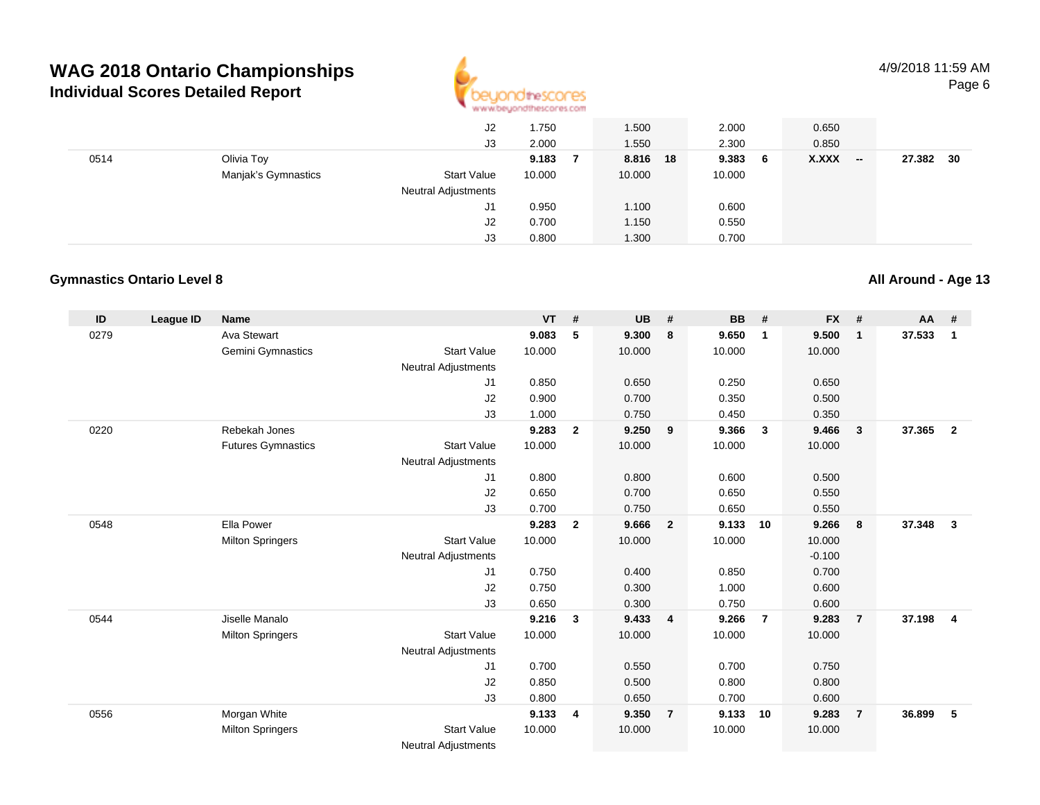

4/9/2018 11:59 AMPage 6

|      |                     | J2                         | 1.750  | 1.500    | 2.000   | 0.650           |              |
|------|---------------------|----------------------------|--------|----------|---------|-----------------|--------------|
|      |                     | J3                         | 2.000  | 1.550    | 2.300   | 0.850           |              |
| 0514 | Olivia Toy          |                            | 9.183  | 8.816 18 | 9.383 6 | X.XXX<br>$\sim$ | 27.382<br>30 |
|      | Manjak's Gymnastics | <b>Start Value</b>         | 10.000 | 10.000   | 10.000  |                 |              |
|      |                     | <b>Neutral Adjustments</b> |        |          |         |                 |              |
|      |                     | J1                         | 0.950  | 1.100    | 0.600   |                 |              |
|      |                     | J2                         | 0.700  | 1.150    | 0.550   |                 |              |
|      |                     | J3                         | 0.800  | 1.300    | 0.700   |                 |              |

#### **Gymnastics Ontario Level 8**

**ID League ID Name VT # UB # BB # FX # AA #** 0279 Ava Stewart **9.083 <sup>5</sup> 9.300 <sup>8</sup> 9.650 <sup>1</sup> 9.500 <sup>1</sup> 37.533 <sup>1</sup>** Gemini Gymnastics Start Valuee 10.000 10.000 10.000 10.000 Neutral Adjustments J1 0.850 0.650 0.250 0.650 J2 0.900 0.700 0.350 0.500 J3 1.000 0.750 0.450 0.350 0220 Rebekah Jones **9.283 <sup>2</sup> 9.250 <sup>9</sup> 9.366 <sup>3</sup> 9.466 <sup>3</sup> 37.365 <sup>2</sup>** Futures Gymnastics Start Valuee 10.000 10.000 10.000 10.000 Neutral Adjustments J1 0.800 0.800 0.600 0.500 J2 0.650 0.700 0.650 0.550 J3 0.700 0.750 0.650 0.550 0548 Ella Power **9.283 <sup>2</sup> 9.666 <sup>2</sup> 9.133 <sup>10</sup> 9.266 <sup>8</sup> 37.348 <sup>3</sup>** Milton Springers Start Valuee 10.000 10.000 10.000 10.000 Neutral Adjustments $\sim$  -0.100 0.700 J1 0.750 0.400 0.850 0.700 J2 0.750 0.300 1.000 0.600 J3 0.650 0.300 0.750 0.600 0544 Jiselle Manalo **9.216 <sup>3</sup> 9.433 <sup>4</sup> 9.266 <sup>7</sup> 9.283 <sup>7</sup> 37.198 <sup>4</sup>** Milton Springers Start Valuee 10.000 10.000 10.000 10.000 Neutral Adjustments J1 0.700 0.550 0.700 0.750 J2 0.850 0.500 0.800 0.800 J3 0.800 0.650 0.700 0.600 0556 Morgan White **9.133 <sup>4</sup> 9.350 <sup>7</sup> 9.133 <sup>10</sup> 9.283 <sup>7</sup> 36.899 <sup>5</sup>** Milton Springers Start Valuee 10.000 10.000 10.000 10.000

Neutral Adjustments

#### **All Around - Age 13**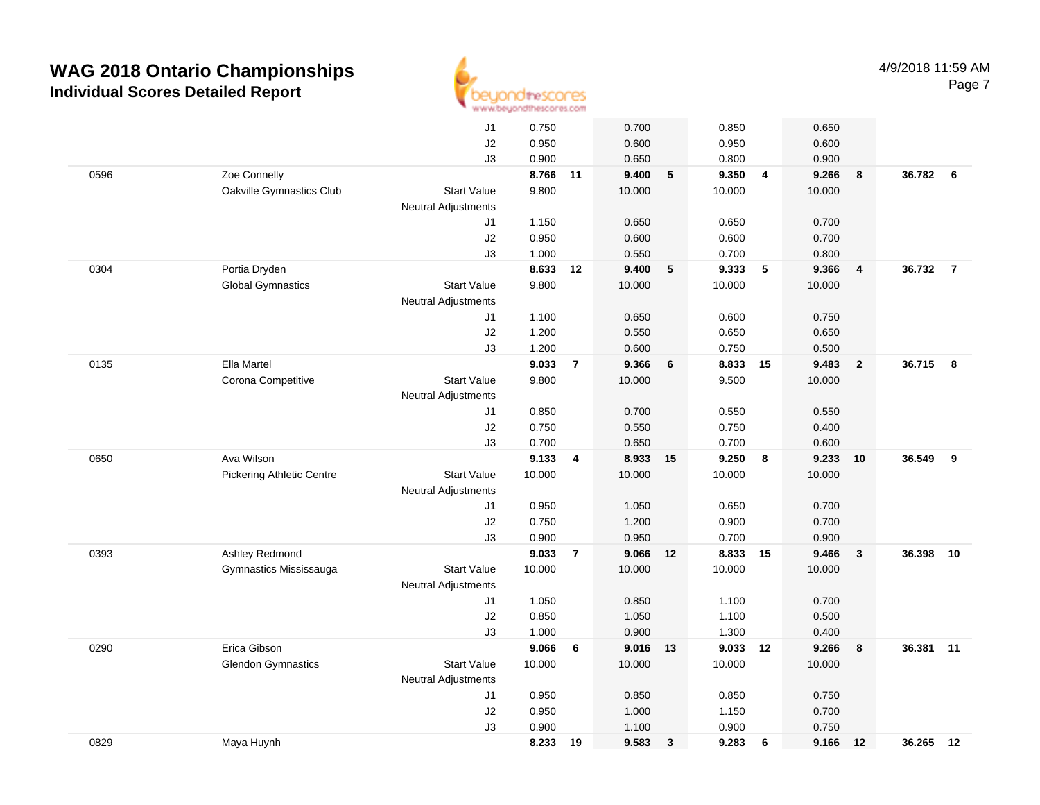

|      |                                  | J <sub>1</sub>             | 0.750    |                | 0.700    |              | 0.850    |                | 0.650  |                |           |                         |
|------|----------------------------------|----------------------------|----------|----------------|----------|--------------|----------|----------------|--------|----------------|-----------|-------------------------|
|      |                                  | J2                         | 0.950    |                | 0.600    |              | 0.950    |                | 0.600  |                |           |                         |
|      |                                  | J3                         | 0.900    |                | 0.650    |              | 0.800    |                | 0.900  |                |           |                         |
| 0596 | Zoe Connelly                     |                            | 8.766 11 |                | 9.400    | 5            | 9.350    | $\overline{4}$ | 9.266  | 8              | 36.782 6  |                         |
|      | Oakville Gymnastics Club         | <b>Start Value</b>         | 9.800    |                | 10.000   |              | 10.000   |                | 10.000 |                |           |                         |
|      |                                  | <b>Neutral Adjustments</b> |          |                |          |              |          |                |        |                |           |                         |
|      |                                  | J1                         | 1.150    |                | 0.650    |              | 0.650    |                | 0.700  |                |           |                         |
|      |                                  | J2                         | 0.950    |                | 0.600    |              | 0.600    |                | 0.700  |                |           |                         |
|      |                                  | J3                         | 1.000    |                | 0.550    |              | 0.700    |                | 0.800  |                |           |                         |
| 0304 | Portia Dryden                    |                            | 8.633    | 12             | 9.400    | 5            | 9.333    | 5              | 9.366  | $\overline{4}$ | 36.732    | $\overline{7}$          |
|      | <b>Global Gymnastics</b>         | <b>Start Value</b>         | 9.800    |                | 10.000   |              | 10.000   |                | 10.000 |                |           |                         |
|      |                                  | <b>Neutral Adjustments</b> |          |                |          |              |          |                |        |                |           |                         |
|      |                                  | J1                         | 1.100    |                | 0.650    |              | 0.600    |                | 0.750  |                |           |                         |
|      |                                  | J2                         | 1.200    |                | 0.550    |              | 0.650    |                | 0.650  |                |           |                         |
|      |                                  | J3                         | 1.200    |                | 0.600    |              | 0.750    |                | 0.500  |                |           |                         |
| 0135 | Ella Martel                      |                            | 9.033    | $\overline{7}$ | 9.366    | 6            | 8.833 15 |                | 9.483  | $\overline{2}$ | 36.715    | $\overline{\mathbf{8}}$ |
|      | Corona Competitive               | <b>Start Value</b>         | 9.800    |                | 10.000   |              | 9.500    |                | 10.000 |                |           |                         |
|      |                                  | <b>Neutral Adjustments</b> |          |                |          |              |          |                |        |                |           |                         |
|      |                                  | J1                         | 0.850    |                | 0.700    |              | 0.550    |                | 0.550  |                |           |                         |
|      |                                  | J2                         | 0.750    |                | 0.550    |              | 0.750    |                | 0.400  |                |           |                         |
|      |                                  | J3                         | 0.700    |                | 0.650    |              | 0.700    |                | 0.600  |                |           |                         |
| 0650 | Ava Wilson                       |                            | 9.133    | 4              | 8.933 15 |              | 9.250    | 8              | 9.233  | 10             | 36.549    | 9                       |
|      | <b>Pickering Athletic Centre</b> | <b>Start Value</b>         | 10.000   |                | 10.000   |              | 10.000   |                | 10.000 |                |           |                         |
|      |                                  | Neutral Adjustments        |          |                |          |              |          |                |        |                |           |                         |
|      |                                  | J1                         | 0.950    |                | 1.050    |              | 0.650    |                | 0.700  |                |           |                         |
|      |                                  | $\sf J2$                   | 0.750    |                | 1.200    |              | 0.900    |                | 0.700  |                |           |                         |
|      |                                  | J3                         | 0.900    |                | 0.950    |              | 0.700    |                | 0.900  |                |           |                         |
| 0393 | Ashley Redmond                   |                            | 9.033    | $\overline{7}$ | 9.066 12 |              | 8.833    | 15             | 9.466  | $\mathbf{3}$   | 36.398    | 10                      |
|      | Gymnastics Mississauga           | <b>Start Value</b>         | 10.000   |                | 10.000   |              | 10.000   |                | 10.000 |                |           |                         |
|      |                                  | <b>Neutral Adjustments</b> |          |                |          |              |          |                |        |                |           |                         |
|      |                                  | J1                         | 1.050    |                | 0.850    |              | 1.100    |                | 0.700  |                |           |                         |
|      |                                  | J2                         | 0.850    |                | 1.050    |              | 1.100    |                | 0.500  |                |           |                         |
|      |                                  | J3                         | 1.000    |                | 0.900    |              | 1.300    |                | 0.400  |                |           |                         |
| 0290 | Erica Gibson                     |                            | 9.066    | 6              | 9.016 13 |              | 9.033    | 12             | 9.266  | 8              | 36.381    | 11                      |
|      | <b>Glendon Gymnastics</b>        | <b>Start Value</b>         | 10.000   |                | 10.000   |              | 10.000   |                | 10.000 |                |           |                         |
|      |                                  | <b>Neutral Adjustments</b> |          |                |          |              |          |                |        |                |           |                         |
|      |                                  | J1                         | 0.950    |                | 0.850    |              | 0.850    |                | 0.750  |                |           |                         |
|      |                                  | $\sf J2$                   | 0.950    |                | 1.000    |              | 1.150    |                | 0.700  |                |           |                         |
|      |                                  | J3                         | 0.900    |                | 1.100    |              | 0.900    |                | 0.750  |                |           |                         |
| 0829 | Maya Huynh                       |                            | 8.233    | 19             | 9.583    | $\mathbf{3}$ | 9.283    | 6              | 9.166  | 12             | 36.265 12 |                         |
|      |                                  |                            |          |                |          |              |          |                |        |                |           |                         |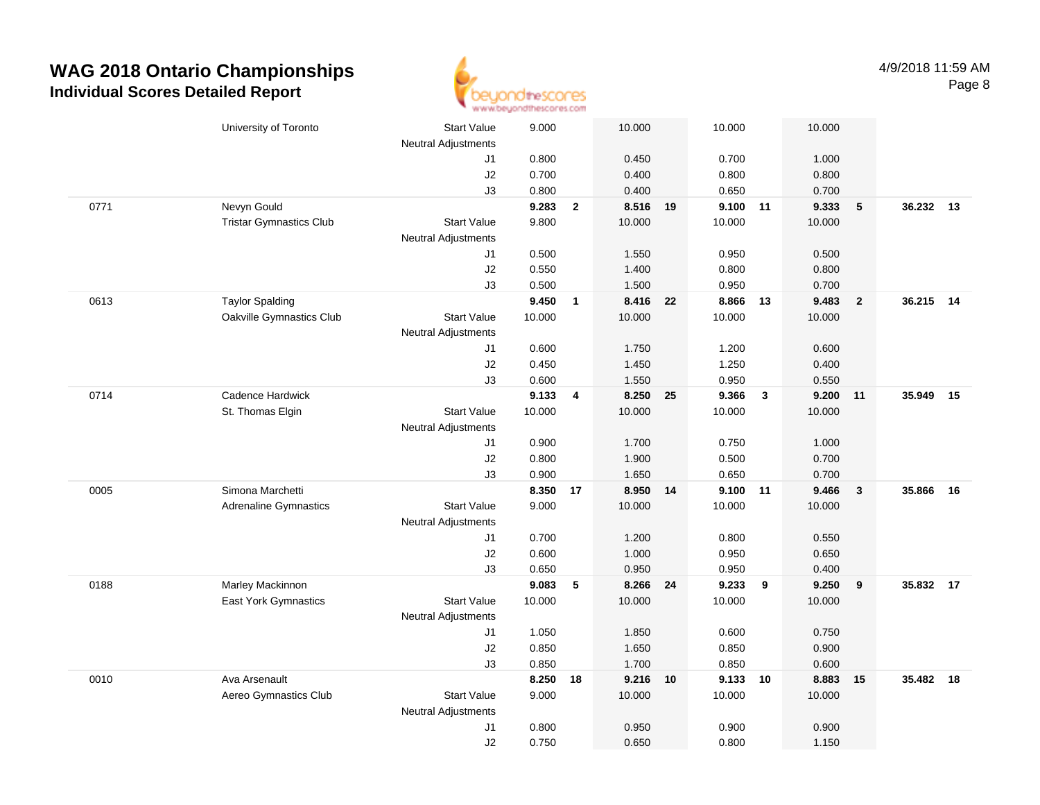

|      | University of Toronto          | <b>Start Value</b>         | 9.000  |                | 10.000   |    | 10.000   |                         | 10.000 |                  |           |    |
|------|--------------------------------|----------------------------|--------|----------------|----------|----|----------|-------------------------|--------|------------------|-----------|----|
|      |                                | <b>Neutral Adjustments</b> |        |                |          |    |          |                         |        |                  |           |    |
|      |                                | J1                         | 0.800  |                | 0.450    |    | 0.700    |                         | 1.000  |                  |           |    |
|      |                                | J2                         | 0.700  |                | 0.400    |    | 0.800    |                         | 0.800  |                  |           |    |
|      |                                | J3                         | 0.800  |                | 0.400    |    | 0.650    |                         | 0.700  |                  |           |    |
| 0771 | Nevyn Gould                    |                            | 9.283  | $\overline{2}$ | 8.516 19 |    | 9.100 11 |                         | 9.333  | $5\phantom{.0}$  | 36.232 13 |    |
|      | <b>Tristar Gymnastics Club</b> | <b>Start Value</b>         | 9.800  |                | 10.000   |    | 10.000   |                         | 10.000 |                  |           |    |
|      |                                | <b>Neutral Adjustments</b> |        |                |          |    |          |                         |        |                  |           |    |
|      |                                | J1                         | 0.500  |                | 1.550    |    | 0.950    |                         | 0.500  |                  |           |    |
|      |                                | J2                         | 0.550  |                | 1.400    |    | 0.800    |                         | 0.800  |                  |           |    |
|      |                                | J3                         | 0.500  |                | 1.500    |    | 0.950    |                         | 0.700  |                  |           |    |
| 0613 | <b>Taylor Spalding</b>         |                            | 9.450  | $\overline{1}$ | 8.416    | 22 | 8.866    | 13                      | 9.483  | $\overline{2}$   | 36.215 14 |    |
|      | Oakville Gymnastics Club       | <b>Start Value</b>         | 10.000 |                | 10.000   |    | 10.000   |                         | 10.000 |                  |           |    |
|      |                                | Neutral Adjustments        |        |                |          |    |          |                         |        |                  |           |    |
|      |                                | J1                         | 0.600  |                | 1.750    |    | 1.200    |                         | 0.600  |                  |           |    |
|      |                                | J2                         | 0.450  |                | 1.450    |    | 1.250    |                         | 0.400  |                  |           |    |
|      |                                | J3                         | 0.600  |                | 1.550    |    | 0.950    |                         | 0.550  |                  |           |    |
| 0714 | Cadence Hardwick               |                            | 9.133  | $\overline{4}$ | 8.250    | 25 | 9.366    | $\overline{\mathbf{3}}$ | 9.200  | 11               | 35.949    | 15 |
|      | St. Thomas Elgin               | <b>Start Value</b>         | 10.000 |                | 10.000   |    | 10.000   |                         | 10.000 |                  |           |    |
|      |                                | <b>Neutral Adjustments</b> |        |                |          |    |          |                         |        |                  |           |    |
|      |                                | J1                         | 0.900  |                | 1.700    |    | 0.750    |                         | 1.000  |                  |           |    |
|      |                                | J2                         | 0.800  |                | 1.900    |    | 0.500    |                         | 0.700  |                  |           |    |
|      |                                | J3                         | 0.900  |                | 1.650    |    | 0.650    |                         | 0.700  |                  |           |    |
| 0005 | Simona Marchetti               |                            | 8.350  | 17             | 8.950    | 14 | 9.100    | 11                      | 9.466  | $\mathbf{3}$     | 35.866    | 16 |
|      | <b>Adrenaline Gymnastics</b>   | <b>Start Value</b>         | 9.000  |                | 10.000   |    | 10.000   |                         | 10.000 |                  |           |    |
|      |                                | <b>Neutral Adjustments</b> |        |                |          |    |          |                         |        |                  |           |    |
|      |                                | J1                         | 0.700  |                | 1.200    |    | 0.800    |                         | 0.550  |                  |           |    |
|      |                                | J2                         | 0.600  |                | 1.000    |    | 0.950    |                         | 0.650  |                  |           |    |
|      |                                | J3                         | 0.650  |                | 0.950    |    | 0.950    |                         | 0.400  |                  |           |    |
| 0188 | Marley Mackinnon               |                            | 9.083  | 5              | 8.266 24 |    | 9.233    | 9                       | 9.250  | $\boldsymbol{9}$ | 35.832 17 |    |
|      | East York Gymnastics           | <b>Start Value</b>         | 10.000 |                | 10.000   |    | 10.000   |                         | 10.000 |                  |           |    |
|      |                                | <b>Neutral Adjustments</b> |        |                |          |    |          |                         |        |                  |           |    |
|      |                                | J1                         | 1.050  |                | 1.850    |    | 0.600    |                         | 0.750  |                  |           |    |
|      |                                | J2                         | 0.850  |                | 1.650    |    | 0.850    |                         | 0.900  |                  |           |    |
|      |                                | J3                         | 0.850  |                | 1.700    |    | 0.850    |                         | 0.600  |                  |           |    |
| 0010 | Ava Arsenault                  |                            | 8.250  | 18             | 9.216 10 |    | 9.133 10 |                         | 8.883  | 15               | 35.482    | 18 |
|      | Aereo Gymnastics Club          | Start Value                | 9.000  |                | 10.000   |    | 10.000   |                         | 10.000 |                  |           |    |
|      |                                | <b>Neutral Adjustments</b> |        |                |          |    |          |                         |        |                  |           |    |
|      |                                | J1                         | 0.800  |                | 0.950    |    | 0.900    |                         | 0.900  |                  |           |    |
|      |                                | J2                         | 0.750  |                | 0.650    |    | 0.800    |                         | 1.150  |                  |           |    |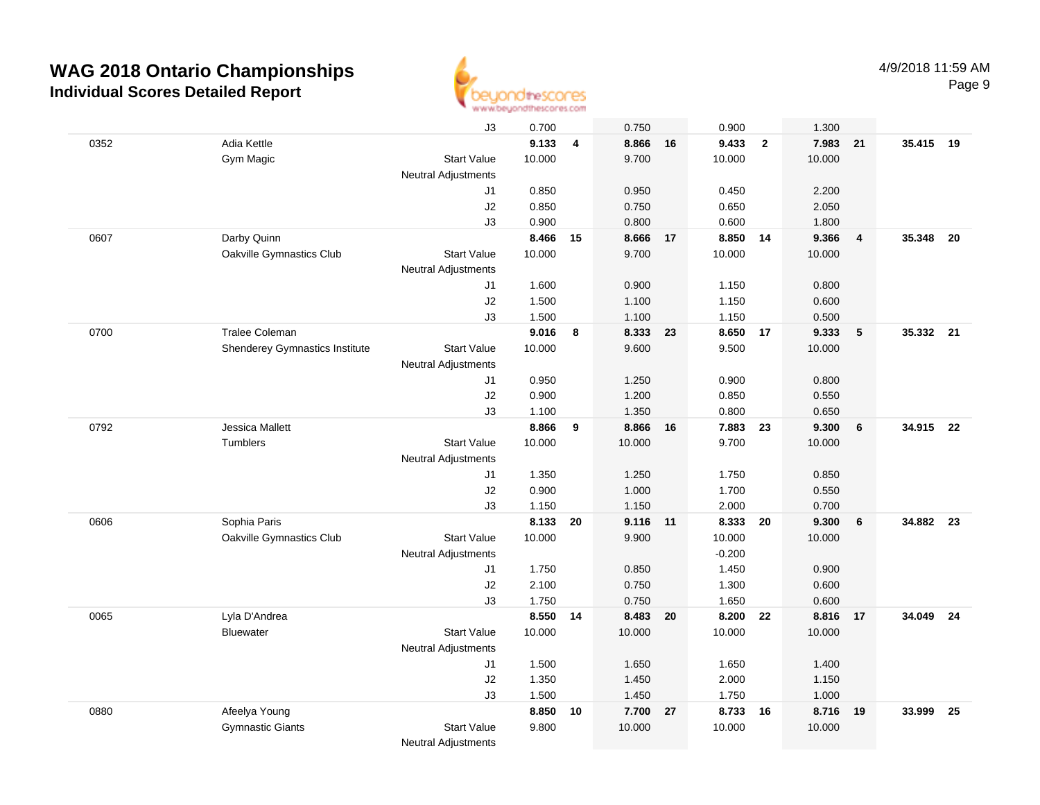

|      |                                | J3                         | 0.700    |                | 0.750    |    | 0.900    |                | 1.300  |                         |           |    |
|------|--------------------------------|----------------------------|----------|----------------|----------|----|----------|----------------|--------|-------------------------|-----------|----|
| 0352 | Adia Kettle                    |                            | 9.133    | $\overline{4}$ | 8.866 16 |    | 9.433    | $\overline{2}$ | 7.983  | 21                      | 35.415 19 |    |
|      | Gym Magic                      | <b>Start Value</b>         | 10.000   |                | 9.700    |    | 10.000   |                | 10.000 |                         |           |    |
|      |                                | <b>Neutral Adjustments</b> |          |                |          |    |          |                |        |                         |           |    |
|      |                                | J1                         | 0.850    |                | 0.950    |    | 0.450    |                | 2.200  |                         |           |    |
|      |                                | J2                         | 0.850    |                | 0.750    |    | 0.650    |                | 2.050  |                         |           |    |
|      |                                | J3                         | 0.900    |                | 0.800    |    | 0.600    |                | 1.800  |                         |           |    |
| 0607 | Darby Quinn                    |                            | 8.466    | 15             | 8.666 17 |    | 8.850    | 14             | 9.366  | $\overline{\mathbf{4}}$ | 35.348    | 20 |
|      | Oakville Gymnastics Club       | <b>Start Value</b>         | 10.000   |                | 9.700    |    | 10.000   |                | 10.000 |                         |           |    |
|      |                                | <b>Neutral Adjustments</b> |          |                |          |    |          |                |        |                         |           |    |
|      |                                | J1                         | 1.600    |                | 0.900    |    | 1.150    |                | 0.800  |                         |           |    |
|      |                                | J2                         | 1.500    |                | 1.100    |    | 1.150    |                | 0.600  |                         |           |    |
|      |                                | J3                         | 1.500    |                | 1.100    |    | 1.150    |                | 0.500  |                         |           |    |
| 0700 | Tralee Coleman                 |                            | 9.016    | 8              | 8.333    | 23 | 8.650    | 17             | 9.333  | 5                       | 35.332 21 |    |
|      | Shenderey Gymnastics Institute | <b>Start Value</b>         | 10.000   |                | 9.600    |    | 9.500    |                | 10.000 |                         |           |    |
|      |                                | Neutral Adjustments        |          |                |          |    |          |                |        |                         |           |    |
|      |                                | J1                         | 0.950    |                | 1.250    |    | 0.900    |                | 0.800  |                         |           |    |
|      |                                | J2                         | 0.900    |                | 1.200    |    | 0.850    |                | 0.550  |                         |           |    |
|      |                                | J3                         | 1.100    |                | 1.350    |    | 0.800    |                | 0.650  |                         |           |    |
| 0792 | <b>Jessica Mallett</b>         |                            | 8.866    | 9              | 8.866 16 |    | 7.883 23 |                | 9.300  | 6                       | 34.915 22 |    |
|      | <b>Tumblers</b>                | <b>Start Value</b>         | 10.000   |                | 10.000   |    | 9.700    |                | 10.000 |                         |           |    |
|      |                                | <b>Neutral Adjustments</b> |          |                |          |    |          |                |        |                         |           |    |
|      |                                | J1                         | 1.350    |                | 1.250    |    | 1.750    |                | 0.850  |                         |           |    |
|      |                                | $\sf J2$                   | 0.900    |                | 1.000    |    | 1.700    |                | 0.550  |                         |           |    |
|      |                                | J3                         | 1.150    |                | 1.150    |    | 2.000    |                | 0.700  |                         |           |    |
| 0606 | Sophia Paris                   |                            | 8.133    | 20             | 9.116 11 |    | 8.333    | 20             | 9.300  | 6                       | 34.882    | 23 |
|      | Oakville Gymnastics Club       | <b>Start Value</b>         | 10.000   |                | 9.900    |    | 10.000   |                | 10.000 |                         |           |    |
|      |                                | Neutral Adjustments        |          |                |          |    | $-0.200$ |                |        |                         |           |    |
|      |                                | J1                         | 1.750    |                | 0.850    |    | 1.450    |                | 0.900  |                         |           |    |
|      |                                | J2                         | 2.100    |                | 0.750    |    | 1.300    |                | 0.600  |                         |           |    |
|      |                                | J3                         | 1.750    |                | 0.750    |    | 1.650    |                | 0.600  |                         |           |    |
| 0065 | Lyla D'Andrea                  |                            | 8.550 14 |                | 8.483 20 |    | 8.200    | 22             | 8.816  | 17                      | 34.049 24 |    |
|      | <b>Bluewater</b>               | <b>Start Value</b>         | 10.000   |                | 10.000   |    | 10.000   |                | 10.000 |                         |           |    |
|      |                                | Neutral Adjustments        |          |                |          |    |          |                |        |                         |           |    |
|      |                                | J1                         | 1.500    |                | 1.650    |    | 1.650    |                | 1.400  |                         |           |    |
|      |                                | J2                         | 1.350    |                | 1.450    |    | 2.000    |                | 1.150  |                         |           |    |
|      |                                | J3                         | 1.500    |                | 1.450    |    | 1.750    |                | 1.000  |                         |           |    |
| 0880 | Afeelya Young                  |                            | 8.850    | 10             | 7.700    | 27 | 8.733    | 16             | 8.716  | 19                      | 33.999    | 25 |
|      | <b>Gymnastic Giants</b>        | <b>Start Value</b>         | 9.800    |                | 10.000   |    | 10.000   |                | 10.000 |                         |           |    |
|      |                                | <b>Neutral Adjustments</b> |          |                |          |    |          |                |        |                         |           |    |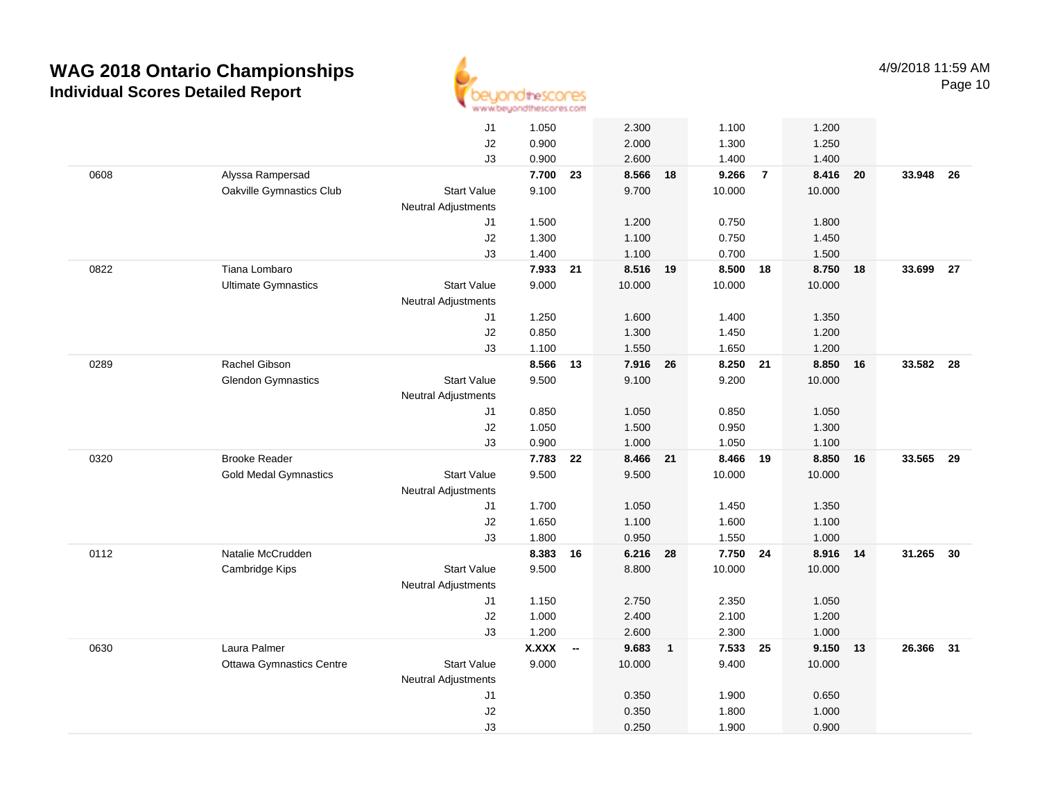

|      |                                 | J1                         | 1.050        |                          | 2.300    |                | 1.100    |                | 1.200  |    |           |      |
|------|---------------------------------|----------------------------|--------------|--------------------------|----------|----------------|----------|----------------|--------|----|-----------|------|
|      |                                 | J2                         | 0.900        |                          | 2.000    |                | 1.300    |                | 1.250  |    |           |      |
|      |                                 | J3                         | 0.900        |                          | 2.600    |                | 1.400    |                | 1.400  |    |           |      |
| 0608 | Alyssa Rampersad                |                            | 7.700        | 23                       | 8.566 18 |                | 9.266    | $\overline{7}$ | 8.416  | 20 | 33.948    | - 26 |
|      | Oakville Gymnastics Club        | <b>Start Value</b>         | 9.100        |                          | 9.700    |                | 10.000   |                | 10.000 |    |           |      |
|      |                                 | <b>Neutral Adjustments</b> |              |                          |          |                |          |                |        |    |           |      |
|      |                                 | J1                         | 1.500        |                          | 1.200    |                | 0.750    |                | 1.800  |    |           |      |
|      |                                 | J2                         | 1.300        |                          | 1.100    |                | 0.750    |                | 1.450  |    |           |      |
|      |                                 | J3                         | 1.400        |                          | 1.100    |                | 0.700    |                | 1.500  |    |           |      |
| 0822 | Tiana Lombaro                   |                            | 7.933        | 21                       | 8.516 19 |                | 8.500 18 |                | 8.750  | 18 | 33.699    | 27   |
|      | <b>Ultimate Gymnastics</b>      | <b>Start Value</b>         | 9.000        |                          | 10.000   |                | 10.000   |                | 10.000 |    |           |      |
|      |                                 | Neutral Adjustments        |              |                          |          |                |          |                |        |    |           |      |
|      |                                 | J1                         | 1.250        |                          | 1.600    |                | 1.400    |                | 1.350  |    |           |      |
|      |                                 | J2                         | 0.850        |                          | 1.300    |                | 1.450    |                | 1.200  |    |           |      |
|      |                                 | J3                         | 1.100        |                          | 1.550    |                | 1.650    |                | 1.200  |    |           |      |
| 0289 | Rachel Gibson                   |                            | 8.566        | 13                       | 7.916    | 26             | 8.250    | 21             | 8.850  | 16 | 33.582 28 |      |
|      | <b>Glendon Gymnastics</b>       | <b>Start Value</b>         | 9.500        |                          | 9.100    |                | 9.200    |                | 10.000 |    |           |      |
|      |                                 | <b>Neutral Adjustments</b> |              |                          |          |                |          |                |        |    |           |      |
|      |                                 | J1                         | 0.850        |                          | 1.050    |                | 0.850    |                | 1.050  |    |           |      |
|      |                                 | J2                         | 1.050        |                          | 1.500    |                | 0.950    |                | 1.300  |    |           |      |
|      |                                 | J3                         | 0.900        |                          | 1.000    |                | 1.050    |                | 1.100  |    |           |      |
| 0320 | <b>Brooke Reader</b>            |                            | 7.783        | 22                       | 8.466 21 |                | 8.466 19 |                | 8.850  | 16 | 33.565    | - 29 |
|      | <b>Gold Medal Gymnastics</b>    | <b>Start Value</b>         | 9.500        |                          | 9.500    |                | 10.000   |                | 10.000 |    |           |      |
|      |                                 | <b>Neutral Adjustments</b> |              |                          |          |                |          |                |        |    |           |      |
|      |                                 | J1                         | 1.700        |                          | 1.050    |                | 1.450    |                | 1.350  |    |           |      |
|      |                                 | J2                         | 1.650        |                          | 1.100    |                | 1.600    |                | 1.100  |    |           |      |
|      |                                 | J3                         | 1.800        |                          | 0.950    |                | 1.550    |                | 1.000  |    |           |      |
| 0112 | Natalie McCrudden               |                            | 8.383        | 16                       | 6.216 28 |                | 7.750 24 |                | 8.916  | 14 | 31.265    | 30   |
|      | Cambridge Kips                  | <b>Start Value</b>         | 9.500        |                          | 8.800    |                | 10.000   |                | 10.000 |    |           |      |
|      |                                 | <b>Neutral Adjustments</b> |              |                          |          |                |          |                |        |    |           |      |
|      |                                 | J <sub>1</sub>             | 1.150        |                          | 2.750    |                | 2.350    |                | 1.050  |    |           |      |
|      |                                 | J2                         | 1.000        |                          | 2.400    |                | 2.100    |                | 1.200  |    |           |      |
|      |                                 | J3                         | 1.200        |                          | 2.600    |                | 2.300    |                | 1.000  |    |           |      |
| 0630 | Laura Palmer                    |                            | <b>X.XXX</b> | $\overline{\phantom{a}}$ | 9.683    | $\overline{1}$ | 7.533    | 25             | 9.150  | 13 | 26.366    | - 31 |
|      | <b>Ottawa Gymnastics Centre</b> | <b>Start Value</b>         | 9.000        |                          | 10.000   |                | 9.400    |                | 10.000 |    |           |      |
|      |                                 | <b>Neutral Adjustments</b> |              |                          |          |                |          |                |        |    |           |      |
|      |                                 | J <sub>1</sub>             |              |                          | 0.350    |                | 1.900    |                | 0.650  |    |           |      |
|      |                                 | J2                         |              |                          | 0.350    |                | 1.800    |                | 1.000  |    |           |      |
|      |                                 | J3                         |              |                          | 0.250    |                | 1.900    |                | 0.900  |    |           |      |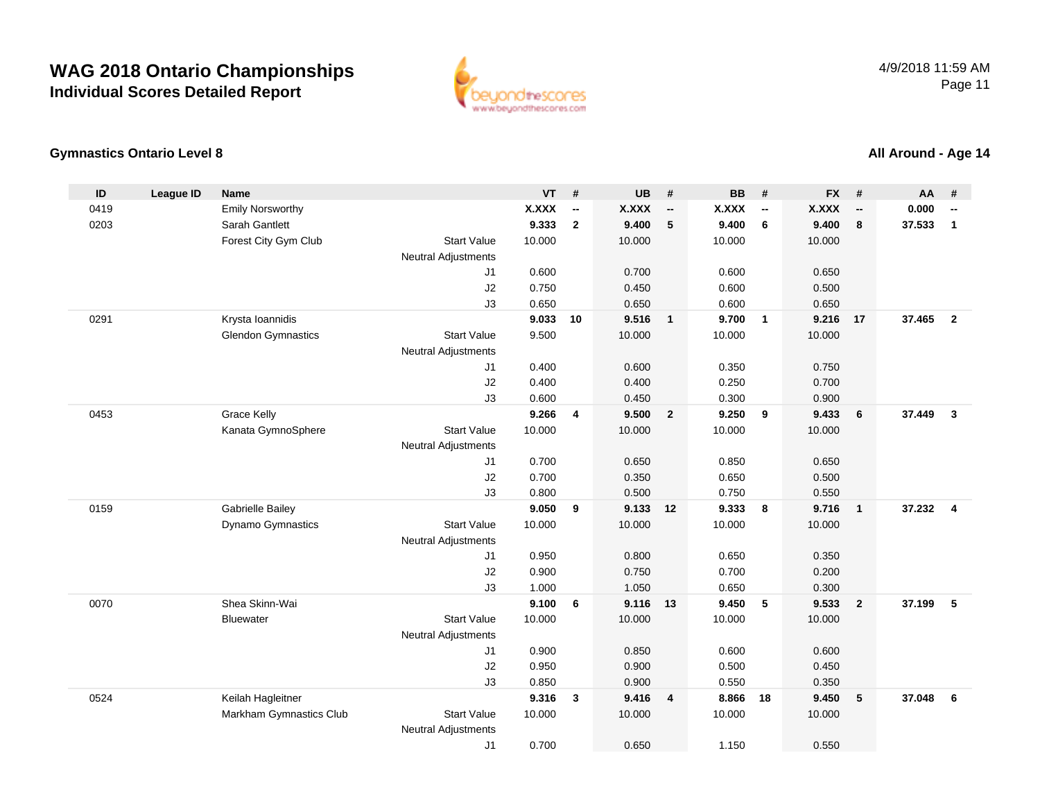

#### **Gymnastics Ontario Level 8**

#### **ID League ID Name VT # UB # BB # FX # AA #** 0419Emily Norsworthy **X.XXX**<br>Sarah Gantlett **1996** 8.333 **-- X.XXX -- X.XXX -- X.XXX -- 0.000 --** 0203 Sarah Gantlett **9.333 <sup>2</sup> 9.400 <sup>5</sup> 9.400 <sup>6</sup> 9.400 <sup>8</sup> 37.533 <sup>1</sup>** Forest City Gym Club Start Value 10.000 10.000 10.000 10.000 Neutral Adjustments J1 0.600 0.700 0.600 0.650 J2 0.750 0.450 0.600 0.500 J3 0.650 0.650 0.600 0.650 0291 Krysta Ioannidis **9.033 <sup>10</sup> 9.516 <sup>1</sup> 9.700 <sup>1</sup> 9.216 <sup>17</sup> 37.465 <sup>2</sup>** Glendon Gymnastics Start Valuee 9.500 10.000 10.000 10.000 Neutral Adjustments J1 0.400 0.600 0.350 0.750 J2 0.400 0.400 0.250 0.700 J3 0.600 0.450 0.300 0.900 0453 Grace Kelly **9.266 <sup>4</sup> 9.500 <sup>2</sup> 9.250 <sup>9</sup> 9.433 <sup>6</sup> 37.449 <sup>3</sup>** Kanata GymnoSphere Start Value 10.000 10.000 10.000 10.000 Neutral Adjustments J1 0.700 0.650 0.850 0.650 J2 0.700 0.350 0.650 0.500 J3 0.800 0.500 0.750 0.550 0159 Gabrielle Bailey **9.050 <sup>9</sup> 9.133 <sup>12</sup> 9.333 <sup>8</sup> 9.716 <sup>1</sup> 37.232 <sup>4</sup>** Dynamo Gymnastics Start Valuee 10.000 10.000 10.000 10.000 Neutral Adjustments J1 0.950 0.800 0.650 0.350 J2 0.900 0.750 0.700 0.200 J3 1.000 1.050 0.650 0.300 0070 Shea Skinn-Wai **9.100 <sup>6</sup> 9.116 <sup>13</sup> 9.450 <sup>5</sup> 9.533 <sup>2</sup> 37.199 <sup>5</sup> Bluewater**  Start Valuee 10.000 10.000 10.000 10.000 Neutral Adjustments J1 0.900 0.850 0.600 0.600 J2 0.950 0.900 0.500 0.450 J3 0.850 0.900 0.550 0.350 0524 Keilah Hagleitner **9.316 <sup>3</sup> 9.416 <sup>4</sup> 8.866 <sup>18</sup> 9.450 <sup>5</sup> 37.048 <sup>6</sup>** Markham Gymnastics Clubb 3tart Value 10.000 10.000 10.000 10.000 10.000 Neutral Adjustments J10.700 0.650 1.150 0.550

#### **All Around - Age 14**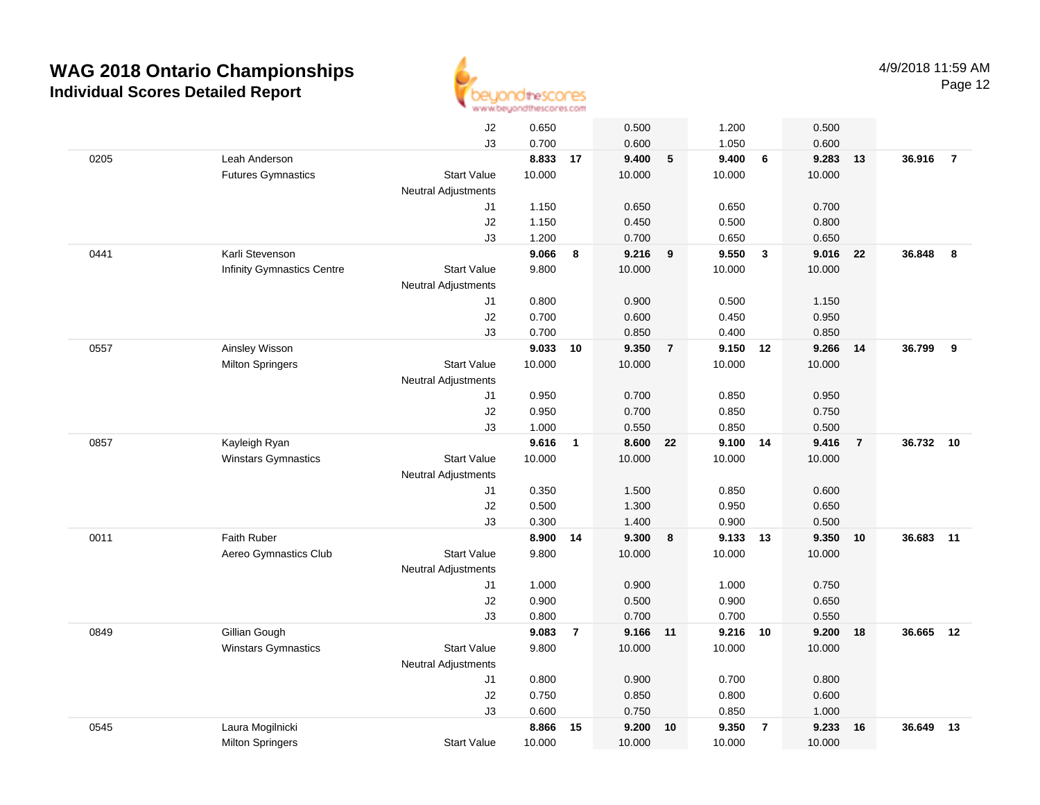

|      |                                   | J2                         | 0.650    |                | 0.500    |                | 1.200    |                | 0.500  |                |        |                |
|------|-----------------------------------|----------------------------|----------|----------------|----------|----------------|----------|----------------|--------|----------------|--------|----------------|
|      |                                   | J3                         | 0.700    |                | 0.600    |                | 1.050    |                | 0.600  |                |        |                |
| 0205 | Leah Anderson                     |                            | 8.833 17 |                | 9.400    | 5              | 9.400    | 6              | 9.283  | 13             | 36.916 | $\overline{7}$ |
|      | <b>Futures Gymnastics</b>         | <b>Start Value</b>         | 10.000   |                | 10.000   |                | 10.000   |                | 10.000 |                |        |                |
|      |                                   | <b>Neutral Adjustments</b> |          |                |          |                |          |                |        |                |        |                |
|      |                                   | J1                         | 1.150    |                | 0.650    |                | 0.650    |                | 0.700  |                |        |                |
|      |                                   | J2                         | 1.150    |                | 0.450    |                | 0.500    |                | 0.800  |                |        |                |
|      |                                   | J3                         | 1.200    |                | 0.700    |                | 0.650    |                | 0.650  |                |        |                |
| 0441 | Karli Stevenson                   |                            | 9.066    | 8              | 9.216    | 9              | 9.550    | $\mathbf{3}$   | 9.016  | 22             | 36.848 | 8              |
|      | <b>Infinity Gymnastics Centre</b> | <b>Start Value</b>         | 9.800    |                | 10.000   |                | 10.000   |                | 10.000 |                |        |                |
|      |                                   | <b>Neutral Adjustments</b> |          |                |          |                |          |                |        |                |        |                |
|      |                                   | J1                         | 0.800    |                | 0.900    |                | 0.500    |                | 1.150  |                |        |                |
|      |                                   | J2                         | 0.700    |                | 0.600    |                | 0.450    |                | 0.950  |                |        |                |
|      |                                   | J3                         | 0.700    |                | 0.850    |                | 0.400    |                | 0.850  |                |        |                |
| 0557 | Ainsley Wisson                    |                            | 9.033    | 10             | 9.350    | $\overline{7}$ | 9.150 12 |                | 9.266  | -14            | 36.799 | 9              |
|      | <b>Milton Springers</b>           | <b>Start Value</b>         | 10.000   |                | 10.000   |                | 10.000   |                | 10.000 |                |        |                |
|      |                                   | <b>Neutral Adjustments</b> |          |                |          |                |          |                |        |                |        |                |
|      |                                   | J1                         | 0.950    |                | 0.700    |                | 0.850    |                | 0.950  |                |        |                |
|      |                                   | J2                         | 0.950    |                | 0.700    |                | 0.850    |                | 0.750  |                |        |                |
|      |                                   | J3                         | 1.000    |                | 0.550    |                | 0.850    |                | 0.500  |                |        |                |
| 0857 | Kayleigh Ryan                     |                            | 9.616    | $\mathbf{1}$   | 8.600    | 22             | 9.100 14 |                | 9.416  | $\overline{7}$ | 36.732 | 10             |
|      | Winstars Gymnastics               | <b>Start Value</b>         | 10.000   |                | 10.000   |                | 10.000   |                | 10.000 |                |        |                |
|      |                                   | Neutral Adjustments        |          |                |          |                |          |                |        |                |        |                |
|      |                                   | J1                         | 0.350    |                | 1.500    |                | 0.850    |                | 0.600  |                |        |                |
|      |                                   | J2                         | 0.500    |                | 1.300    |                | 0.950    |                | 0.650  |                |        |                |
|      |                                   | J3                         | 0.300    |                | 1.400    |                | 0.900    |                | 0.500  |                |        |                |
| 0011 | Faith Ruber                       |                            | 8.900    | 14             | 9.300    | 8              | 9.133    | 13             | 9.350  | 10             | 36.683 | 11             |
|      | Aereo Gymnastics Club             | <b>Start Value</b>         | 9.800    |                | 10.000   |                | 10.000   |                | 10.000 |                |        |                |
|      |                                   | <b>Neutral Adjustments</b> |          |                |          |                |          |                |        |                |        |                |
|      |                                   | J1                         | 1.000    |                | 0.900    |                | 1.000    |                | 0.750  |                |        |                |
|      |                                   | J2                         | 0.900    |                | 0.500    |                | 0.900    |                | 0.650  |                |        |                |
|      |                                   | J3                         | 0.800    |                | 0.700    |                | 0.700    |                | 0.550  |                |        |                |
| 0849 | Gillian Gough                     |                            | 9.083    | $\overline{7}$ | 9.166 11 |                | 9.216 10 |                | 9.200  | 18             | 36.665 | 12             |
|      | Winstars Gymnastics               | <b>Start Value</b>         | 9.800    |                | 10.000   |                | 10.000   |                | 10.000 |                |        |                |
|      |                                   | <b>Neutral Adjustments</b> |          |                |          |                |          |                |        |                |        |                |
|      |                                   | J1                         | 0.800    |                | 0.900    |                | 0.700    |                | 0.800  |                |        |                |
|      |                                   | J2                         | 0.750    |                | 0.850    |                | 0.800    |                | 0.600  |                |        |                |
|      |                                   | J3                         | 0.600    |                | 0.750    |                | 0.850    |                | 1.000  |                |        |                |
| 0545 | Laura Mogilnicki                  |                            | 8.866    | 15             | 9.200    | 10             | 9.350    | $\overline{7}$ | 9.233  | 16             | 36.649 | 13             |
|      | <b>Milton Springers</b>           | <b>Start Value</b>         | 10.000   |                | 10.000   |                | 10.000   |                | 10.000 |                |        |                |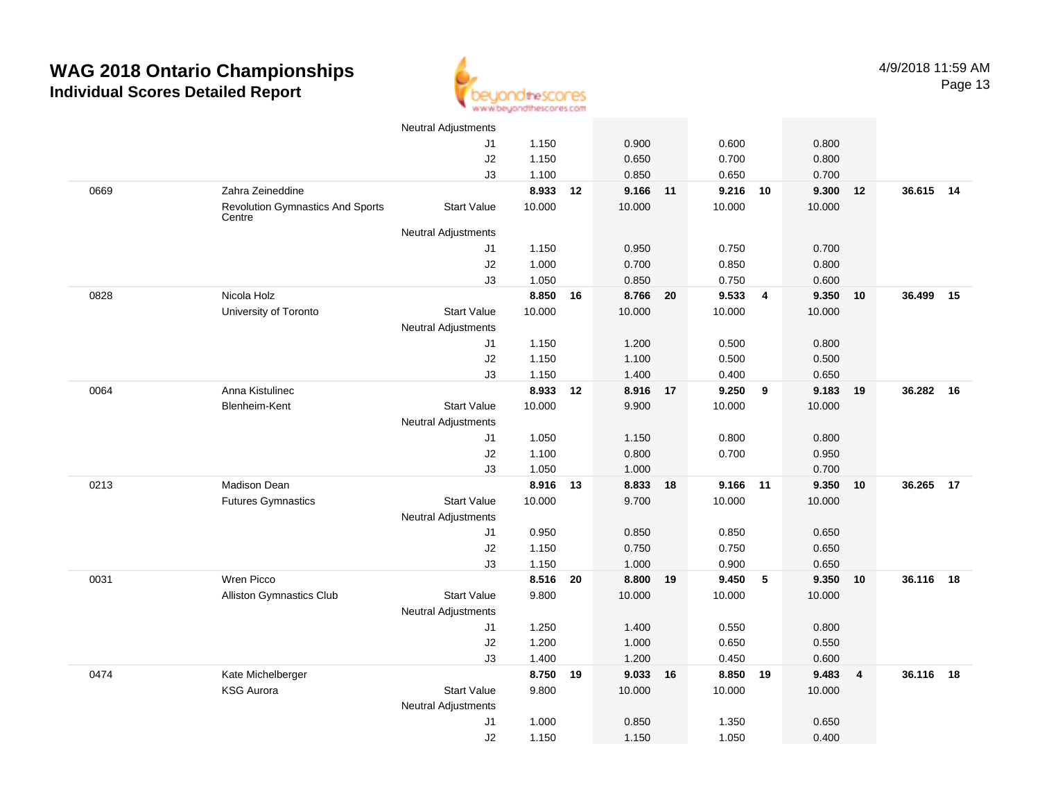

|      |                                                   | <b>Neutral Adjustments</b> |          |    |          |    |          |                |        |                         |           |    |
|------|---------------------------------------------------|----------------------------|----------|----|----------|----|----------|----------------|--------|-------------------------|-----------|----|
|      |                                                   | J1                         | 1.150    |    | 0.900    |    | 0.600    |                | 0.800  |                         |           |    |
|      |                                                   | J2                         | 1.150    |    | 0.650    |    | 0.700    |                | 0.800  |                         |           |    |
|      |                                                   | J3                         | 1.100    |    | 0.850    |    | 0.650    |                | 0.700  |                         |           |    |
| 0669 | Zahra Zeineddine                                  |                            | 8.933    | 12 | 9.166 11 |    | 9.216    | 10             | 9.300  | 12                      | 36.615 14 |    |
|      | <b>Revolution Gymnastics And Sports</b><br>Centre | <b>Start Value</b>         | 10.000   |    | 10.000   |    | 10.000   |                | 10.000 |                         |           |    |
|      |                                                   | <b>Neutral Adjustments</b> |          |    |          |    |          |                |        |                         |           |    |
|      |                                                   | J1                         | 1.150    |    | 0.950    |    | 0.750    |                | 0.700  |                         |           |    |
|      |                                                   | J2                         | 1.000    |    | 0.700    |    | 0.850    |                | 0.800  |                         |           |    |
|      |                                                   | J3                         | 1.050    |    | 0.850    |    | 0.750    |                | 0.600  |                         |           |    |
| 0828 | Nicola Holz                                       |                            | 8.850 16 |    | 8.766 20 |    | 9.533    | $\overline{4}$ | 9.350  | 10                      | 36.499    | 15 |
|      | University of Toronto                             | <b>Start Value</b>         | 10.000   |    | 10.000   |    | 10.000   |                | 10.000 |                         |           |    |
|      |                                                   | <b>Neutral Adjustments</b> |          |    |          |    |          |                |        |                         |           |    |
|      |                                                   | J1                         | 1.150    |    | 1.200    |    | 0.500    |                | 0.800  |                         |           |    |
|      |                                                   | J2                         | 1.150    |    | 1.100    |    | 0.500    |                | 0.500  |                         |           |    |
|      |                                                   | J3                         | 1.150    |    | 1.400    |    | 0.400    |                | 0.650  |                         |           |    |
| 0064 | Anna Kistulinec                                   |                            | 8.933    | 12 | 8.916    | 17 | 9.250    | 9              | 9.183  | 19                      | 36.282    | 16 |
|      | Blenheim-Kent                                     | <b>Start Value</b>         | 10.000   |    | 9.900    |    | 10.000   |                | 10.000 |                         |           |    |
|      |                                                   | Neutral Adjustments        |          |    |          |    |          |                |        |                         |           |    |
|      |                                                   | J1                         | 1.050    |    | 1.150    |    | 0.800    |                | 0.800  |                         |           |    |
|      |                                                   | J2                         | 1.100    |    | 0.800    |    | 0.700    |                | 0.950  |                         |           |    |
|      |                                                   | J3                         | 1.050    |    | 1.000    |    |          |                | 0.700  |                         |           |    |
| 0213 | Madison Dean                                      |                            | 8.916    | 13 | 8.833 18 |    | 9.166 11 |                | 9.350  | 10                      | 36.265    | 17 |
|      | <b>Futures Gymnastics</b>                         | <b>Start Value</b>         | 10.000   |    | 9.700    |    | 10.000   |                | 10.000 |                         |           |    |
|      |                                                   | <b>Neutral Adjustments</b> |          |    |          |    |          |                |        |                         |           |    |
|      |                                                   | J1                         | 0.950    |    | 0.850    |    | 0.850    |                | 0.650  |                         |           |    |
|      |                                                   | J2                         | 1.150    |    | 0.750    |    | 0.750    |                | 0.650  |                         |           |    |
|      |                                                   | J3                         | 1.150    |    | 1.000    |    | 0.900    |                | 0.650  |                         |           |    |
| 0031 | Wren Picco                                        |                            | 8.516 20 |    | 8.800 19 |    | 9.450    | $5\phantom{1}$ | 9.350  | 10                      | 36.116 18 |    |
|      | <b>Alliston Gymnastics Club</b>                   | <b>Start Value</b>         | 9.800    |    | 10.000   |    | 10.000   |                | 10.000 |                         |           |    |
|      |                                                   | <b>Neutral Adjustments</b> |          |    |          |    |          |                |        |                         |           |    |
|      |                                                   | J1                         | 1.250    |    | 1.400    |    | 0.550    |                | 0.800  |                         |           |    |
|      |                                                   | J2                         | 1.200    |    | 1.000    |    | 0.650    |                | 0.550  |                         |           |    |
|      |                                                   | J3                         | 1.400    |    | 1.200    |    | 0.450    |                | 0.600  |                         |           |    |
| 0474 | Kate Michelberger                                 |                            | 8.750    | 19 | 9.033    | 16 | 8.850    | 19             | 9.483  | $\overline{\mathbf{4}}$ | 36.116    | 18 |
|      | <b>KSG Aurora</b>                                 | <b>Start Value</b>         | 9.800    |    | 10.000   |    | 10.000   |                | 10.000 |                         |           |    |
|      |                                                   | <b>Neutral Adjustments</b> |          |    |          |    |          |                |        |                         |           |    |
|      |                                                   | J1                         | 1.000    |    | 0.850    |    | 1.350    |                | 0.650  |                         |           |    |
|      |                                                   | J2                         | 1.150    |    | 1.150    |    | 1.050    |                | 0.400  |                         |           |    |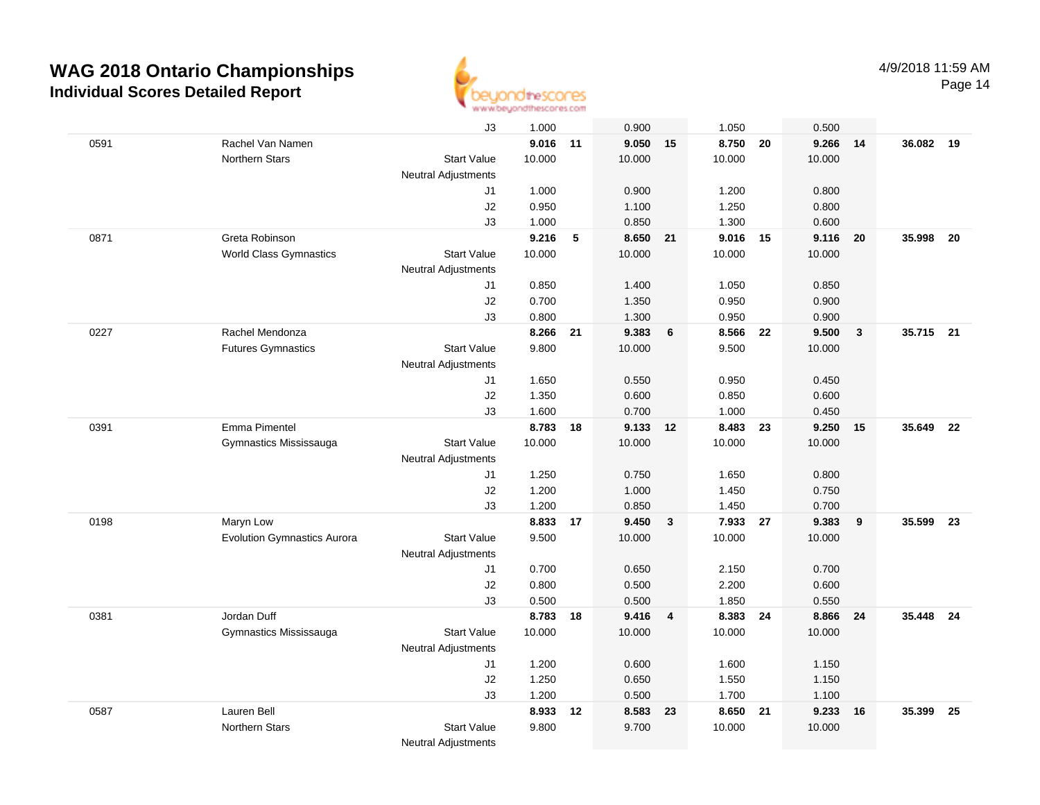

Page 14

|      |                                    | J3                         | 1.000  |    | 0.900  |              | 1.050    |    | 0.500  |              |           |      |
|------|------------------------------------|----------------------------|--------|----|--------|--------------|----------|----|--------|--------------|-----------|------|
| 0591 | Rachel Van Namen                   |                            | 9.016  | 11 | 9.050  | 15           | 8.750    | 20 | 9.266  | 14           | 36.082 19 |      |
|      | Northern Stars                     | <b>Start Value</b>         | 10.000 |    | 10.000 |              | 10.000   |    | 10.000 |              |           |      |
|      |                                    | Neutral Adjustments        |        |    |        |              |          |    |        |              |           |      |
|      |                                    | J1                         | 1.000  |    | 0.900  |              | 1.200    |    | 0.800  |              |           |      |
|      |                                    | J2                         | 0.950  |    | 1.100  |              | 1.250    |    | 0.800  |              |           |      |
|      |                                    | J3                         | 1.000  |    | 0.850  |              | 1.300    |    | 0.600  |              |           |      |
| 0871 | Greta Robinson                     |                            | 9.216  | 5  | 8.650  | 21           | 9.016 15 |    | 9.116  | 20           | 35.998    | - 20 |
|      | <b>World Class Gymnastics</b>      | <b>Start Value</b>         | 10.000 |    | 10.000 |              | 10.000   |    | 10.000 |              |           |      |
|      |                                    | Neutral Adjustments        |        |    |        |              |          |    |        |              |           |      |
|      |                                    | J1                         | 0.850  |    | 1.400  |              | 1.050    |    | 0.850  |              |           |      |
|      |                                    | J <sub>2</sub>             | 0.700  |    | 1.350  |              | 0.950    |    | 0.900  |              |           |      |
|      |                                    | J3                         | 0.800  |    | 1.300  |              | 0.950    |    | 0.900  |              |           |      |
| 0227 | Rachel Mendonza                    |                            | 8.266  | 21 | 9.383  | 6            | 8.566    | 22 | 9.500  | $\mathbf{3}$ | 35.715 21 |      |
|      | <b>Futures Gymnastics</b>          | <b>Start Value</b>         | 9.800  |    | 10.000 |              | 9.500    |    | 10.000 |              |           |      |
|      |                                    | <b>Neutral Adjustments</b> |        |    |        |              |          |    |        |              |           |      |
|      |                                    | J1                         | 1.650  |    | 0.550  |              | 0.950    |    | 0.450  |              |           |      |
|      |                                    | J2                         | 1.350  |    | 0.600  |              | 0.850    |    | 0.600  |              |           |      |
|      |                                    | J3                         | 1.600  |    | 0.700  |              | 1.000    |    | 0.450  |              |           |      |
| 0391 | Emma Pimentel                      |                            | 8.783  | 18 | 9.133  | 12           | 8.483 23 |    | 9.250  | 15           | 35.649 22 |      |
|      | Gymnastics Mississauga             | <b>Start Value</b>         | 10.000 |    | 10.000 |              | 10.000   |    | 10.000 |              |           |      |
|      |                                    | Neutral Adjustments        |        |    |        |              |          |    |        |              |           |      |
|      |                                    | J1                         | 1.250  |    | 0.750  |              | 1.650    |    | 0.800  |              |           |      |
|      |                                    | J2                         | 1.200  |    | 1.000  |              | 1.450    |    | 0.750  |              |           |      |
|      |                                    | J3                         | 1.200  |    | 0.850  |              | 1.450    |    | 0.700  |              |           |      |
| 0198 | Maryn Low                          |                            | 8.833  | 17 | 9.450  | $\mathbf{3}$ | 7.933    | 27 | 9.383  | 9            | 35.599    | 23   |
|      | <b>Evolution Gymnastics Aurora</b> | <b>Start Value</b>         | 9.500  |    | 10.000 |              | 10.000   |    | 10.000 |              |           |      |
|      |                                    | Neutral Adjustments        |        |    |        |              |          |    |        |              |           |      |
|      |                                    | J1                         | 0.700  |    | 0.650  |              | 2.150    |    | 0.700  |              |           |      |
|      |                                    | J2                         | 0.800  |    | 0.500  |              | 2.200    |    | 0.600  |              |           |      |
|      |                                    | J3                         | 0.500  |    | 0.500  |              | 1.850    |    | 0.550  |              |           |      |
| 0381 | Jordan Duff                        |                            | 8.783  | 18 | 9.416  | 4            | 8.383 24 |    | 8.866  | 24           | 35.448 24 |      |
|      | Gymnastics Mississauga             | <b>Start Value</b>         | 10.000 |    | 10.000 |              | 10.000   |    | 10.000 |              |           |      |
|      |                                    | Neutral Adjustments        |        |    |        |              |          |    |        |              |           |      |
|      |                                    | J1                         | 1.200  |    | 0.600  |              | 1.600    |    | 1.150  |              |           |      |
|      |                                    | J2                         | 1.250  |    | 0.650  |              | 1.550    |    | 1.150  |              |           |      |
|      |                                    | J3                         | 1.200  |    | 0.500  |              | 1.700    |    | 1.100  |              |           |      |
| 0587 | Lauren Bell                        |                            | 8.933  | 12 | 8.583  | 23           | 8.650 21 |    | 9.233  | 16           | 35.399    | - 25 |
|      | <b>Northern Stars</b>              | <b>Start Value</b>         | 9.800  |    | 9.700  |              | 10.000   |    | 10.000 |              |           |      |
|      |                                    | <b>Neutral Adjustments</b> |        |    |        |              |          |    |        |              |           |      |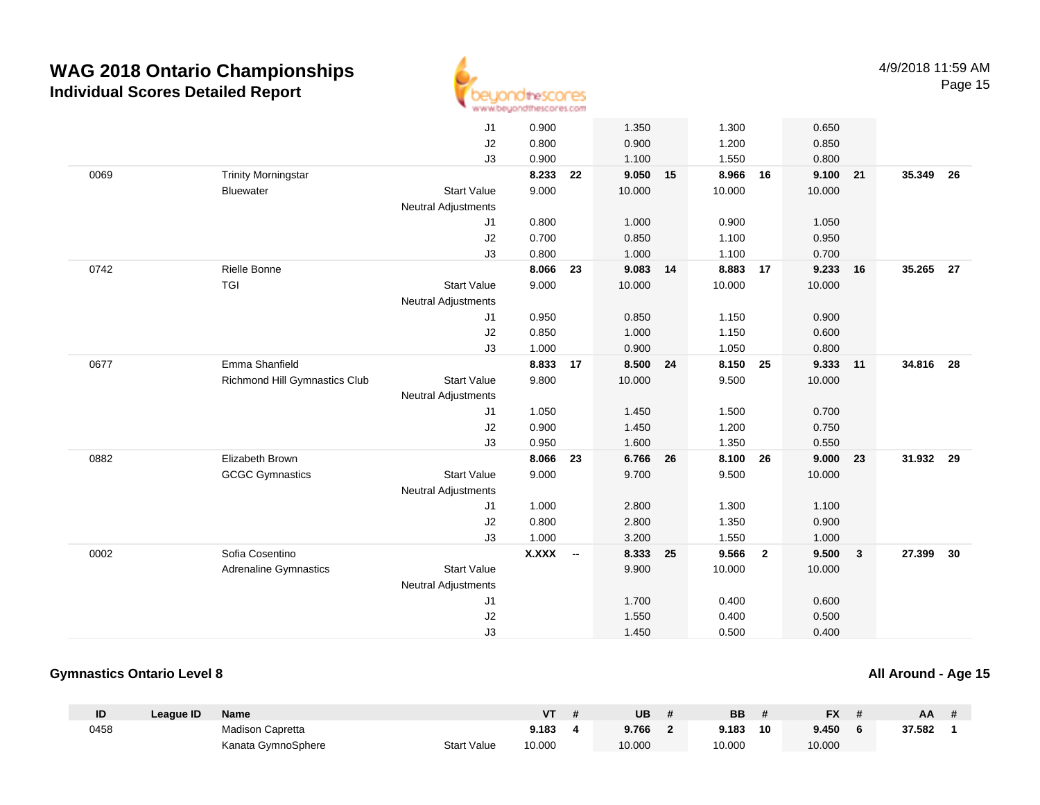

|      |                               | J1                         | 0.900        |                          | 1.350    |    | 1.300    |                | 0.650  |                         |           |      |
|------|-------------------------------|----------------------------|--------------|--------------------------|----------|----|----------|----------------|--------|-------------------------|-----------|------|
|      |                               | J2                         | 0.800        |                          | 0.900    |    | 1.200    |                | 0.850  |                         |           |      |
|      |                               | J3                         | 0.900        |                          | 1.100    |    | 1.550    |                | 0.800  |                         |           |      |
| 0069 | <b>Trinity Morningstar</b>    |                            | 8.233        | 22                       | 9.050    | 15 | 8.966    | 16             | 9.100  | 21                      | 35.349    | - 26 |
|      | <b>Bluewater</b>              | <b>Start Value</b>         | 9.000        |                          | 10.000   |    | 10.000   |                | 10.000 |                         |           |      |
|      |                               | <b>Neutral Adjustments</b> |              |                          |          |    |          |                |        |                         |           |      |
|      |                               | J1                         | 0.800        |                          | 1.000    |    | 0.900    |                | 1.050  |                         |           |      |
|      |                               | J2                         | 0.700        |                          | 0.850    |    | 1.100    |                | 0.950  |                         |           |      |
|      |                               | J3                         | 0.800        |                          | 1.000    |    | 1.100    |                | 0.700  |                         |           |      |
| 0742 | Rielle Bonne                  |                            | 8.066        | 23                       | 9.083    | 14 | 8.883    | 17             | 9.233  | 16                      | 35.265 27 |      |
|      | <b>TGI</b>                    | <b>Start Value</b>         | 9.000        |                          | 10.000   |    | 10.000   |                | 10.000 |                         |           |      |
|      |                               | Neutral Adjustments        |              |                          |          |    |          |                |        |                         |           |      |
|      |                               | J1                         | 0.950        |                          | 0.850    |    | 1.150    |                | 0.900  |                         |           |      |
|      |                               | J2                         | 0.850        |                          | 1.000    |    | 1.150    |                | 0.600  |                         |           |      |
|      |                               | J3                         | 1.000        |                          | 0.900    |    | 1.050    |                | 0.800  |                         |           |      |
| 0677 | Emma Shanfield                |                            | 8.833        | 17                       | 8.500 24 |    | 8.150 25 |                | 9.333  | 11                      | 34.816 28 |      |
|      | Richmond Hill Gymnastics Club | <b>Start Value</b>         | 9.800        |                          | 10.000   |    | 9.500    |                | 10.000 |                         |           |      |
|      |                               | <b>Neutral Adjustments</b> |              |                          |          |    |          |                |        |                         |           |      |
|      |                               | J <sub>1</sub>             | 1.050        |                          | 1.450    |    | 1.500    |                | 0.700  |                         |           |      |
|      |                               | J2                         | 0.900        |                          | 1.450    |    | 1.200    |                | 0.750  |                         |           |      |
|      |                               | J3                         | 0.950        |                          | 1.600    |    | 1.350    |                | 0.550  |                         |           |      |
| 0882 | Elizabeth Brown               |                            | 8.066        | 23                       | 6.766    | 26 | 8.100    | 26             | 9.000  | 23                      | 31.932    | 29   |
|      | <b>GCGC Gymnastics</b>        | <b>Start Value</b>         | 9.000        |                          | 9.700    |    | 9.500    |                | 10.000 |                         |           |      |
|      |                               | <b>Neutral Adjustments</b> |              |                          |          |    |          |                |        |                         |           |      |
|      |                               | J1                         | 1.000        |                          | 2.800    |    | 1.300    |                | 1.100  |                         |           |      |
|      |                               | J2                         | 0.800        |                          | 2.800    |    | 1.350    |                | 0.900  |                         |           |      |
|      |                               | J3                         | 1.000        |                          | 3.200    |    | 1.550    |                | 1.000  |                         |           |      |
| 0002 | Sofia Cosentino               |                            | <b>X.XXX</b> | $\overline{\phantom{a}}$ | 8.333    | 25 | 9.566    | $\overline{2}$ | 9.500  | $\overline{\mathbf{3}}$ | 27.399    | 30   |
|      | <b>Adrenaline Gymnastics</b>  | <b>Start Value</b>         |              |                          | 9.900    |    | 10.000   |                | 10.000 |                         |           |      |
|      |                               | <b>Neutral Adjustments</b> |              |                          |          |    |          |                |        |                         |           |      |
|      |                               | J1                         |              |                          | 1.700    |    | 0.400    |                | 0.600  |                         |           |      |
|      |                               | J2                         |              |                          | 1.550    |    | 0.400    |                | 0.500  |                         |           |      |
|      |                               |                            |              |                          |          |    |          |                |        |                         |           |      |

### **Gymnastics Ontario Level 8**

| ID   | League ID | <b>Name</b>             |                    | VT     | UB     | <b>BB</b> |    | <b>FX</b> | AA     |  |
|------|-----------|-------------------------|--------------------|--------|--------|-----------|----|-----------|--------|--|
| 0458 |           | <b>Madison Capretta</b> |                    | 9.183  | 9.766  | 9.183     | 10 | 9.450     | 37.582 |  |
|      |           | Kanata GymnoSphere      | <b>Start Value</b> | 10.000 | 10.000 | 10.000    |    | 10.000    |        |  |

**All Around - Age 15**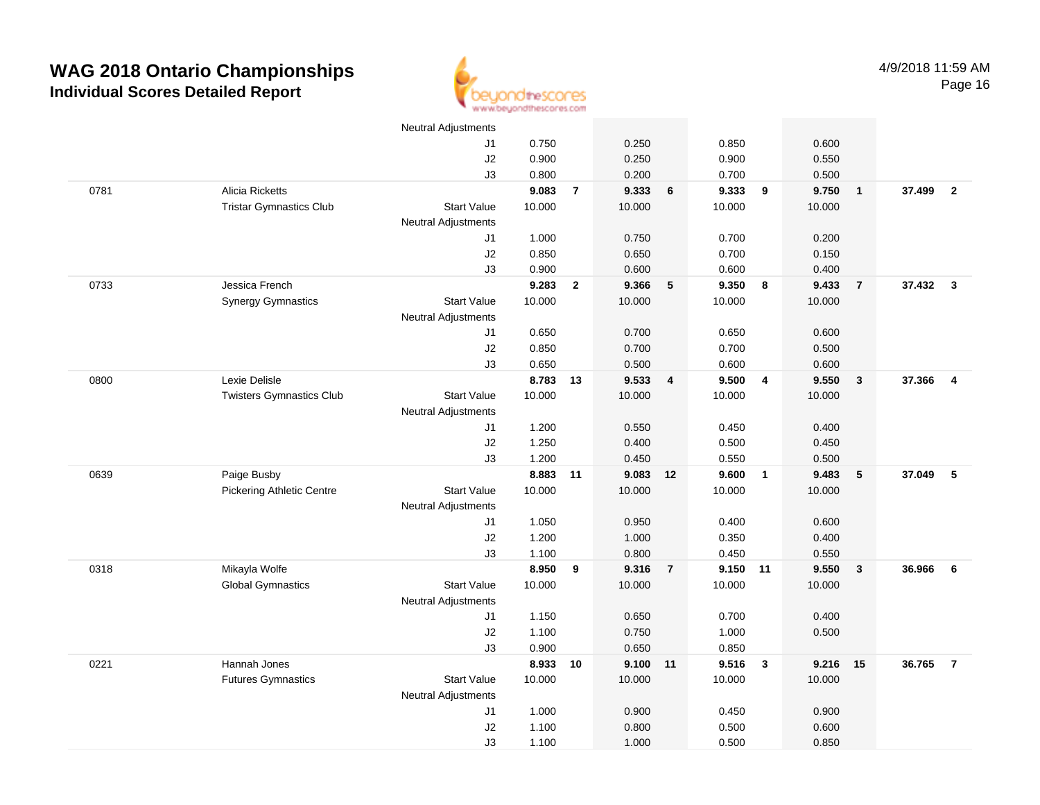

|      |                                  | <b>Neutral Adjustments</b> |          |                |          |                         |          |                         |        |                |          |                         |
|------|----------------------------------|----------------------------|----------|----------------|----------|-------------------------|----------|-------------------------|--------|----------------|----------|-------------------------|
|      |                                  | J1                         | 0.750    |                | 0.250    |                         | 0.850    |                         | 0.600  |                |          |                         |
|      |                                  | J2                         | 0.900    |                | 0.250    |                         | 0.900    |                         | 0.550  |                |          |                         |
|      |                                  | J3                         | 0.800    |                | 0.200    |                         | 0.700    |                         | 0.500  |                |          |                         |
| 0781 | Alicia Ricketts                  |                            | 9.083    | $\overline{7}$ | 9.333    | 6                       | 9.333    | 9                       | 9.750  | $\mathbf{1}$   | 37.499   | $\overline{\mathbf{2}}$ |
|      | <b>Tristar Gymnastics Club</b>   | <b>Start Value</b>         | 10.000   |                | 10.000   |                         | 10.000   |                         | 10.000 |                |          |                         |
|      |                                  | Neutral Adjustments        |          |                |          |                         |          |                         |        |                |          |                         |
|      |                                  | J1                         | 1.000    |                | 0.750    |                         | 0.700    |                         | 0.200  |                |          |                         |
|      |                                  | J2                         | 0.850    |                | 0.650    |                         | 0.700    |                         | 0.150  |                |          |                         |
|      |                                  | J3                         | 0.900    |                | 0.600    |                         | 0.600    |                         | 0.400  |                |          |                         |
| 0733 | Jessica French                   |                            | 9.283    | $\mathbf{2}$   | 9.366    | $-5$                    | 9.350    | 8                       | 9.433  | $\overline{7}$ | 37.432 3 |                         |
|      | <b>Synergy Gymnastics</b>        | <b>Start Value</b>         | 10.000   |                | 10.000   |                         | 10.000   |                         | 10.000 |                |          |                         |
|      |                                  | <b>Neutral Adjustments</b> |          |                |          |                         |          |                         |        |                |          |                         |
|      |                                  | J1                         | 0.650    |                | 0.700    |                         | 0.650    |                         | 0.600  |                |          |                         |
|      |                                  | J2                         | 0.850    |                | 0.700    |                         | 0.700    |                         | 0.500  |                |          |                         |
|      |                                  | J3                         | 0.650    |                | 0.500    |                         | 0.600    |                         | 0.600  |                |          |                         |
| 0800 | Lexie Delisle                    |                            | 8.783 13 |                | 9.533    | $\overline{\mathbf{4}}$ | 9.500    | $\overline{4}$          | 9.550  | $\mathbf{3}$   | 37.366   | $\overline{4}$          |
|      | <b>Twisters Gymnastics Club</b>  | <b>Start Value</b>         | 10.000   |                | 10.000   |                         | 10.000   |                         | 10.000 |                |          |                         |
|      |                                  | <b>Neutral Adjustments</b> |          |                |          |                         |          |                         |        |                |          |                         |
|      |                                  | J1                         | 1.200    |                | 0.550    |                         | 0.450    |                         | 0.400  |                |          |                         |
|      |                                  | J2                         | 1.250    |                | 0.400    |                         | 0.500    |                         | 0.450  |                |          |                         |
|      |                                  | J3                         | 1.200    |                | 0.450    |                         | 0.550    |                         | 0.500  |                |          |                         |
| 0639 | Paige Busby                      |                            | 8.883    | 11             | 9.083    | 12                      | 9.600    | $\overline{1}$          | 9.483  | 5              | 37.049   | 5                       |
|      | <b>Pickering Athletic Centre</b> | <b>Start Value</b>         | 10.000   |                | 10.000   |                         | 10.000   |                         | 10.000 |                |          |                         |
|      |                                  | <b>Neutral Adjustments</b> |          |                |          |                         |          |                         |        |                |          |                         |
|      |                                  | J1                         | 1.050    |                | 0.950    |                         | 0.400    |                         | 0.600  |                |          |                         |
|      |                                  | J2                         | 1.200    |                | 1.000    |                         | 0.350    |                         | 0.400  |                |          |                         |
|      |                                  | J3                         | 1.100    |                | 0.800    |                         | 0.450    |                         | 0.550  |                |          |                         |
| 0318 | Mikayla Wolfe                    |                            | 8.950    | 9              | 9.316    | $\overline{7}$          | 9.150 11 |                         | 9.550  | 3              | 36.966   | 6                       |
|      | <b>Global Gymnastics</b>         | <b>Start Value</b>         | 10.000   |                | 10.000   |                         | 10.000   |                         | 10.000 |                |          |                         |
|      |                                  | <b>Neutral Adjustments</b> |          |                |          |                         |          |                         |        |                |          |                         |
|      |                                  | J1                         | 1.150    |                | 0.650    |                         | 0.700    |                         | 0.400  |                |          |                         |
|      |                                  | J2                         | 1.100    |                | 0.750    |                         | 1.000    |                         | 0.500  |                |          |                         |
|      |                                  | J3                         | 0.900    |                | 0.650    |                         | 0.850    |                         |        |                |          |                         |
| 0221 | Hannah Jones                     |                            | 8.933    | 10             | 9.100 11 |                         | 9.516    | $\overline{\mathbf{3}}$ | 9.216  | 15             | 36.765   | $\overline{7}$          |
|      | <b>Futures Gymnastics</b>        | <b>Start Value</b>         | 10.000   |                | 10.000   |                         | 10.000   |                         | 10.000 |                |          |                         |
|      |                                  | <b>Neutral Adjustments</b> |          |                |          |                         |          |                         |        |                |          |                         |
|      |                                  | J1                         | 1.000    |                | 0.900    |                         | 0.450    |                         | 0.900  |                |          |                         |
|      |                                  | J2                         | 1.100    |                | 0.800    |                         | 0.500    |                         | 0.600  |                |          |                         |
|      |                                  | J3                         | 1.100    |                | 1.000    |                         | 0.500    |                         | 0.850  |                |          |                         |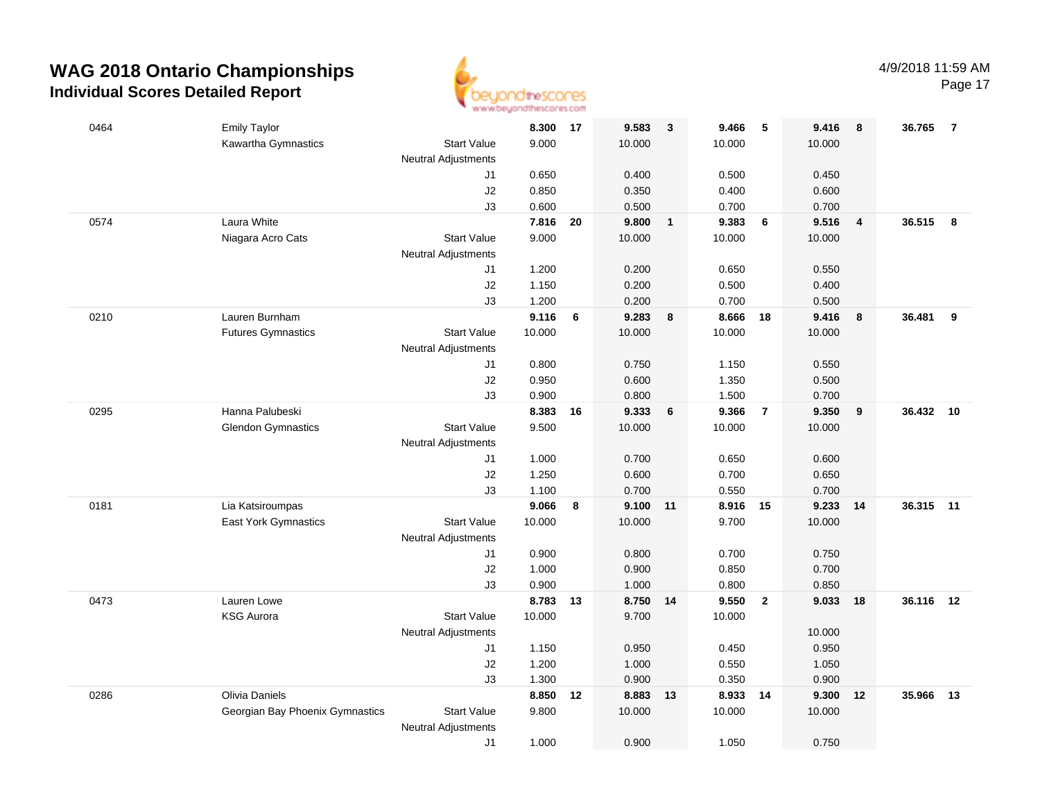

Page 17

| 0464 | <b>Emily Taylor</b>             |                            | 8.300          | 17 | 9.583          | $\mathbf{3}$            | 9.466          | 5              | 9.416          | 8              | 36.765    | - 7 |
|------|---------------------------------|----------------------------|----------------|----|----------------|-------------------------|----------------|----------------|----------------|----------------|-----------|-----|
|      | Kawartha Gymnastics             | <b>Start Value</b>         | 9.000          |    | 10.000         |                         | 10.000         |                | 10.000         |                |           |     |
|      |                                 | <b>Neutral Adjustments</b> |                |    |                |                         |                |                |                |                |           |     |
|      |                                 | J1                         | 0.650          |    | 0.400          |                         | 0.500          |                | 0.450          |                |           |     |
|      |                                 | J2                         | 0.850          |    | 0.350          |                         | 0.400          |                | 0.600          |                |           |     |
|      |                                 | J3                         | 0.600          |    | 0.500          |                         | 0.700          |                | 0.700          |                |           |     |
| 0574 | Laura White                     |                            | 7.816          | 20 | 9.800          | $\overline{1}$          | 9.383          | - 6            | 9.516          | $\overline{4}$ | 36.515    | - 8 |
|      | Niagara Acro Cats               | <b>Start Value</b>         | 9.000          |    | 10.000         |                         | 10.000         |                | 10.000         |                |           |     |
|      |                                 | <b>Neutral Adjustments</b> |                |    |                |                         |                |                |                |                |           |     |
|      |                                 | J1                         | 1.200          |    | 0.200          |                         | 0.650          |                | 0.550          |                |           |     |
|      |                                 | J2                         | 1.150          |    | 0.200          |                         | 0.500          |                | 0.400          |                |           |     |
| 0210 | Lauren Burnham                  | J3                         | 1.200<br>9.116 | 6  | 0.200<br>9.283 | $\overline{\mathbf{8}}$ | 0.700<br>8.666 | 18             | 0.500<br>9.416 | 8              | 36.481    | 9   |
|      | <b>Futures Gymnastics</b>       | <b>Start Value</b>         | 10.000         |    | 10.000         |                         | 10.000         |                | 10.000         |                |           |     |
|      |                                 | <b>Neutral Adjustments</b> |                |    |                |                         |                |                |                |                |           |     |
|      |                                 | J1                         | 0.800          |    | 0.750          |                         | 1.150          |                | 0.550          |                |           |     |
|      |                                 | J2                         | 0.950          |    | 0.600          |                         | 1.350          |                | 0.500          |                |           |     |
|      |                                 | J3                         | 0.900          |    | 0.800          |                         | 1.500          |                | 0.700          |                |           |     |
| 0295 | Hanna Palubeski                 |                            | 8.383          | 16 | 9.333          | 6                       | 9.366          | $\overline{7}$ | 9.350          | 9              | 36.432 10 |     |
|      | <b>Glendon Gymnastics</b>       | <b>Start Value</b>         | 9.500          |    | 10.000         |                         | 10.000         |                | 10.000         |                |           |     |
|      |                                 | <b>Neutral Adjustments</b> |                |    |                |                         |                |                |                |                |           |     |
|      |                                 | J1                         | 1.000          |    | 0.700          |                         | 0.650          |                | 0.600          |                |           |     |
|      |                                 | J2                         | 1.250          |    | 0.600          |                         | 0.700          |                | 0.650          |                |           |     |
|      |                                 | J3                         | 1.100          |    | 0.700          |                         | 0.550          |                | 0.700          |                |           |     |
| 0181 | Lia Katsiroumpas                |                            | 9.066          | 8  | 9.100          | 11                      | 8.916          | 15             | 9.233          | 14             | 36.315    | 11  |
|      | East York Gymnastics            | <b>Start Value</b>         | 10.000         |    | 10.000         |                         | 9.700          |                | 10.000         |                |           |     |
|      |                                 | <b>Neutral Adjustments</b> |                |    |                |                         |                |                |                |                |           |     |
|      |                                 | J1                         | 0.900          |    | 0.800          |                         | 0.700          |                | 0.750          |                |           |     |
|      |                                 | J2                         | 1.000          |    | 0.900          |                         | 0.850          |                | 0.700          |                |           |     |
|      |                                 | J3                         | 0.900          |    | 1.000          |                         | 0.800          |                | 0.850          |                |           |     |
| 0473 | Lauren Lowe                     |                            | 8.783          | 13 | 8.750 14       |                         | 9.550          | $\overline{2}$ | 9.033          | 18             | 36.116 12 |     |
|      | <b>KSG Aurora</b>               | <b>Start Value</b>         | 10.000         |    | 9.700          |                         | 10.000         |                |                |                |           |     |
|      |                                 | <b>Neutral Adjustments</b> |                |    |                |                         |                |                | 10.000         |                |           |     |
|      |                                 | J1                         | 1.150          |    | 0.950          |                         | 0.450          |                | 0.950          |                |           |     |
|      |                                 | J2                         | 1.200          |    | 1.000          |                         | 0.550          |                | 1.050          |                |           |     |
|      |                                 | J3                         | 1.300          |    | 0.900          |                         | 0.350          |                | 0.900          |                |           |     |
| 0286 | Olivia Daniels                  |                            | 8.850          | 12 | 8.883          | 13                      | 8.933          | 14             | 9.300          | 12             | 35.966    | 13  |
|      | Georgian Bay Phoenix Gymnastics | <b>Start Value</b>         | 9.800          |    | 10.000         |                         | 10.000         |                | 10.000         |                |           |     |
|      |                                 | <b>Neutral Adjustments</b> |                |    |                |                         |                |                |                |                |           |     |
|      |                                 | J1                         | 1.000          |    | 0.900          |                         | 1.050          |                | 0.750          |                |           |     |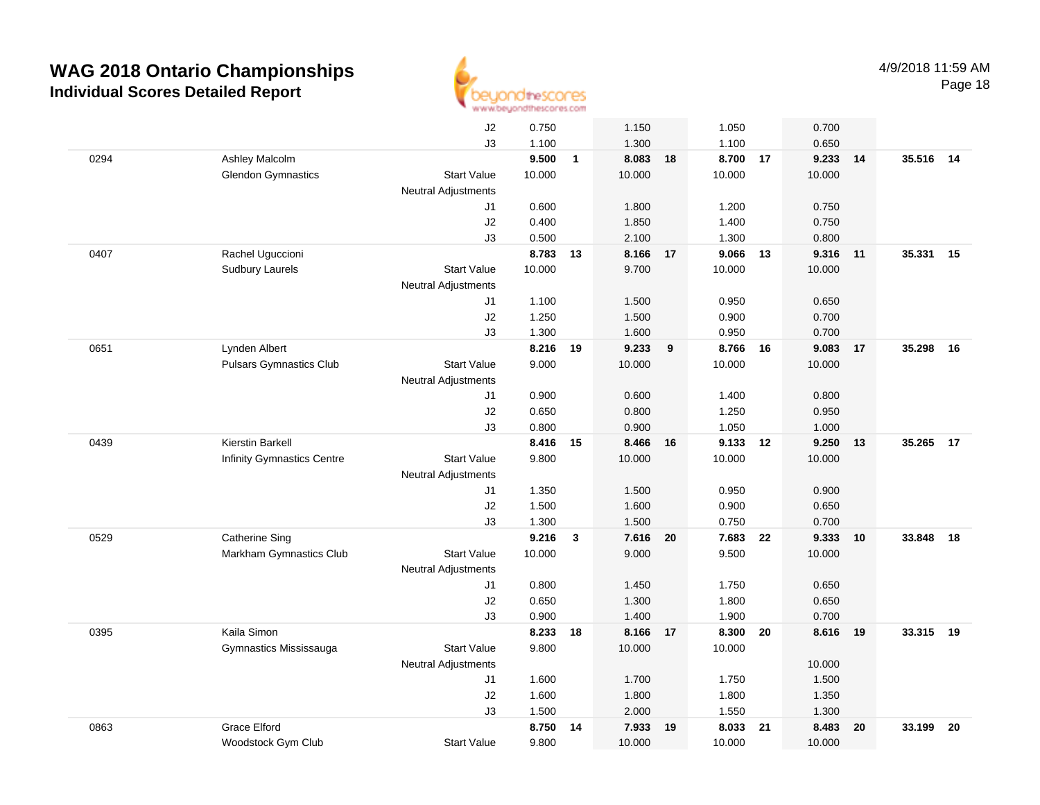

|      |                                   | J2                         | 0.750  |              | 1.150    |    | 1.050    |    | 0.700  |    |           |    |
|------|-----------------------------------|----------------------------|--------|--------------|----------|----|----------|----|--------|----|-----------|----|
|      |                                   | J3                         | 1.100  |              | 1.300    |    | 1.100    |    | 0.650  |    |           |    |
| 0294 | Ashley Malcolm                    |                            | 9.500  | $\mathbf{1}$ | 8.083    | 18 | 8.700    | 17 | 9.233  | 14 | 35.516 14 |    |
|      | <b>Glendon Gymnastics</b>         | <b>Start Value</b>         | 10.000 |              | 10.000   |    | 10.000   |    | 10.000 |    |           |    |
|      |                                   | <b>Neutral Adjustments</b> |        |              |          |    |          |    |        |    |           |    |
|      |                                   | J1                         | 0.600  |              | 1.800    |    | 1.200    |    | 0.750  |    |           |    |
|      |                                   | J2                         | 0.400  |              | 1.850    |    | 1.400    |    | 0.750  |    |           |    |
|      |                                   | J3                         | 0.500  |              | 2.100    |    | 1.300    |    | 0.800  |    |           |    |
| 0407 | Rachel Uguccioni                  |                            | 8.783  | 13           | 8.166    | 17 | 9.066    | 13 | 9.316  | 11 | 35.331 15 |    |
|      | <b>Sudbury Laurels</b>            | <b>Start Value</b>         | 10.000 |              | 9.700    |    | 10.000   |    | 10.000 |    |           |    |
|      |                                   | <b>Neutral Adjustments</b> |        |              |          |    |          |    |        |    |           |    |
|      |                                   | J1                         | 1.100  |              | 1.500    |    | 0.950    |    | 0.650  |    |           |    |
|      |                                   | J2                         | 1.250  |              | 1.500    |    | 0.900    |    | 0.700  |    |           |    |
|      |                                   | J3                         | 1.300  |              | 1.600    |    | 0.950    |    | 0.700  |    |           |    |
| 0651 | Lynden Albert                     |                            | 8.216  | 19           | 9.233    | 9  | 8.766 16 |    | 9.083  | 17 | 35.298    | 16 |
|      | <b>Pulsars Gymnastics Club</b>    | <b>Start Value</b>         | 9.000  |              | 10.000   |    | 10.000   |    | 10.000 |    |           |    |
|      |                                   | Neutral Adjustments        |        |              |          |    |          |    |        |    |           |    |
|      |                                   | J1                         | 0.900  |              | 0.600    |    | 1.400    |    | 0.800  |    |           |    |
|      |                                   | J2                         | 0.650  |              | 0.800    |    | 1.250    |    | 0.950  |    |           |    |
|      |                                   | J3                         | 0.800  |              | 0.900    |    | 1.050    |    | 1.000  |    |           |    |
| 0439 | Kierstin Barkell                  |                            | 8.416  | 15           | 8.466    | 16 | 9.133    | 12 | 9.250  | 13 | 35.265    | 17 |
|      | <b>Infinity Gymnastics Centre</b> | <b>Start Value</b>         | 9.800  |              | 10.000   |    | 10.000   |    | 10.000 |    |           |    |
|      |                                   | <b>Neutral Adjustments</b> |        |              |          |    |          |    |        |    |           |    |
|      |                                   | J1                         | 1.350  |              | 1.500    |    | 0.950    |    | 0.900  |    |           |    |
|      |                                   | J <sub>2</sub>             | 1.500  |              | 1.600    |    | 0.900    |    | 0.650  |    |           |    |
|      |                                   | J3                         | 1.300  |              | 1.500    |    | 0.750    |    | 0.700  |    |           |    |
| 0529 | <b>Catherine Sing</b>             |                            | 9.216  | $\mathbf{3}$ | 7.616    | 20 | 7.683    | 22 | 9.333  | 10 | 33.848    | 18 |
|      | Markham Gymnastics Club           | <b>Start Value</b>         | 10.000 |              | 9.000    |    | 9.500    |    | 10.000 |    |           |    |
|      |                                   | Neutral Adjustments        |        |              |          |    |          |    |        |    |           |    |
|      |                                   | J1                         | 0.800  |              | 1.450    |    | 1.750    |    | 0.650  |    |           |    |
|      |                                   | J2                         | 0.650  |              | 1.300    |    | 1.800    |    | 0.650  |    |           |    |
|      |                                   | J3                         | 0.900  |              | 1.400    |    | 1.900    |    | 0.700  |    |           |    |
| 0395 | Kaila Simon                       |                            | 8.233  | 18           | 8.166 17 |    | 8.300    | 20 | 8.616  | 19 | 33.315 19 |    |
|      | Gymnastics Mississauga            | <b>Start Value</b>         | 9.800  |              | 10.000   |    | 10.000   |    |        |    |           |    |
|      |                                   | <b>Neutral Adjustments</b> |        |              |          |    |          |    | 10.000 |    |           |    |
|      |                                   | J1                         | 1.600  |              | 1.700    |    | 1.750    |    | 1.500  |    |           |    |
|      |                                   | J2                         | 1.600  |              | 1.800    |    | 1.800    |    | 1.350  |    |           |    |
|      |                                   | J3                         | 1.500  |              | 2.000    |    | 1.550    |    | 1.300  |    |           |    |
| 0863 | <b>Grace Elford</b>               |                            | 8.750  | 14           | 7.933    | 19 | 8.033    | 21 | 8.483  | 20 | 33.199    | 20 |
|      | Woodstock Gym Club                | <b>Start Value</b>         | 9.800  |              | 10.000   |    | 10.000   |    | 10.000 |    |           |    |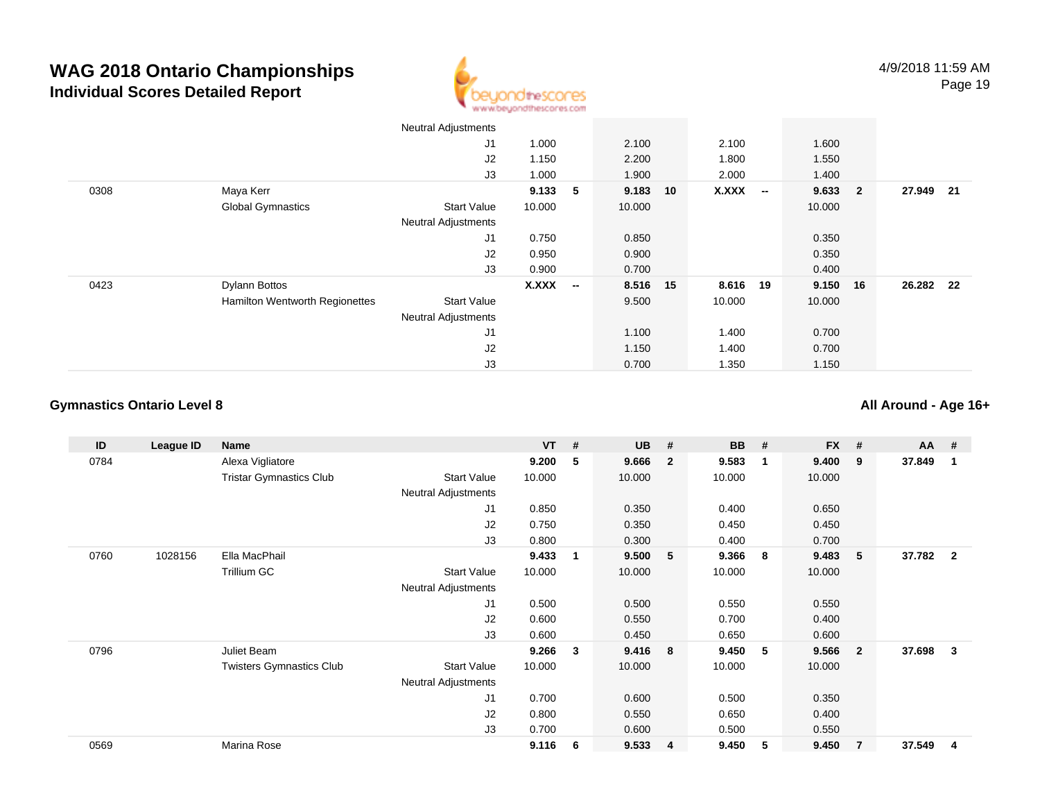

|      |                                | <b>Neutral Adjustments</b> |        |                          |          |             |        |        |                         |           |      |
|------|--------------------------------|----------------------------|--------|--------------------------|----------|-------------|--------|--------|-------------------------|-----------|------|
|      |                                | J1                         | 1.000  |                          | 2.100    | 2.100       |        | 1.600  |                         |           |      |
|      |                                | J2                         | 1.150  |                          | 2.200    | 1.800       |        | 1.550  |                         |           |      |
|      |                                | J3                         | 1.000  |                          | 1.900    | 2.000       |        | 1.400  |                         |           |      |
| 0308 | Maya Kerr                      |                            | 9.133  | 5                        | 9.183    | X.XXX<br>10 | $\sim$ | 9.633  | $\overline{\mathbf{2}}$ | 27.949    | - 21 |
|      | <b>Global Gymnastics</b>       | <b>Start Value</b>         | 10.000 |                          | 10.000   |             |        | 10.000 |                         |           |      |
|      |                                | <b>Neutral Adjustments</b> |        |                          |          |             |        |        |                         |           |      |
|      |                                | J1                         | 0.750  |                          | 0.850    |             |        | 0.350  |                         |           |      |
|      |                                | J2                         | 0.950  |                          | 0.900    |             |        | 0.350  |                         |           |      |
|      |                                | J3                         | 0.900  |                          | 0.700    |             |        | 0.400  |                         |           |      |
| 0423 | Dylann Bottos                  |                            | X.XXX  | $\overline{\phantom{a}}$ | 8.516 15 | 8.616 19    |        | 9.150  | 16                      | 26.282 22 |      |
|      | Hamilton Wentworth Regionettes | <b>Start Value</b>         |        |                          | 9.500    | 10.000      |        | 10.000 |                         |           |      |
|      |                                | <b>Neutral Adjustments</b> |        |                          |          |             |        |        |                         |           |      |
|      |                                | J <sub>1</sub>             |        |                          | 1.100    | 1.400       |        | 0.700  |                         |           |      |
|      |                                | J2                         |        |                          | 1.150    | 1.400       |        | 0.700  |                         |           |      |
|      |                                | J3                         |        |                          | 0.700    | 1.350       |        | 1.150  |                         |           |      |

### **Gymnastics Ontario Level 8**

**All Around - Age 16+**

| ID   | League ID | Name                            |                     | <b>VT</b> | #  | <b>UB</b> | #              | <b>BB</b> | #              | <b>FX</b> | #              | $AA$ # |                         |
|------|-----------|---------------------------------|---------------------|-----------|----|-----------|----------------|-----------|----------------|-----------|----------------|--------|-------------------------|
| 0784 |           | Alexa Vigliatore                |                     | 9.200     | 5  | 9.666     | $\overline{2}$ | 9.583     | $\overline{1}$ | 9.400     | 9              | 37.849 | -1                      |
|      |           | <b>Tristar Gymnastics Club</b>  | Start Value         | 10.000    |    | 10.000    |                | 10.000    |                | 10.000    |                |        |                         |
|      |           |                                 | Neutral Adjustments |           |    |           |                |           |                |           |                |        |                         |
|      |           |                                 | J <sub>1</sub>      | 0.850     |    | 0.350     |                | 0.400     |                | 0.650     |                |        |                         |
|      |           |                                 | J2                  | 0.750     |    | 0.350     |                | 0.450     |                | 0.450     |                |        |                         |
|      |           |                                 | J3                  | 0.800     |    | 0.300     |                | 0.400     |                | 0.700     |                |        |                         |
| 0760 | 1028156   | Ella MacPhail                   |                     | 9.433     | -1 | 9.500     | - 5            | 9.366     | - 8            | 9.483     | 5              | 37.782 | $\overline{\mathbf{2}}$ |
|      |           | Trillium GC                     | <b>Start Value</b>  | 10.000    |    | 10.000    |                | 10.000    |                | 10.000    |                |        |                         |
|      |           |                                 | Neutral Adjustments |           |    |           |                |           |                |           |                |        |                         |
|      |           |                                 | J1                  | 0.500     |    | 0.500     |                | 0.550     |                | 0.550     |                |        |                         |
|      |           |                                 | J <sub>2</sub>      | 0.600     |    | 0.550     |                | 0.700     |                | 0.400     |                |        |                         |
|      |           |                                 | J3                  | 0.600     |    | 0.450     |                | 0.650     |                | 0.600     |                |        |                         |
| 0796 |           | Juliet Beam                     |                     | 9.266     | 3  | 9.416     | - 8            | 9.450     | - 5            | 9.566     | $\mathbf{2}$   | 37.698 | 3                       |
|      |           | <b>Twisters Gymnastics Club</b> | Start Value         | 10.000    |    | 10.000    |                | 10.000    |                | 10.000    |                |        |                         |
|      |           |                                 | Neutral Adjustments |           |    |           |                |           |                |           |                |        |                         |
|      |           |                                 | J <sub>1</sub>      | 0.700     |    | 0.600     |                | 0.500     |                | 0.350     |                |        |                         |
|      |           |                                 | J2                  | 0.800     |    | 0.550     |                | 0.650     |                | 0.400     |                |        |                         |
|      |           |                                 | J3                  | 0.700     |    | 0.600     |                | 0.500     |                | 0.550     |                |        |                         |
| 0569 |           | Marina Rose                     |                     | 9.116     | -6 | 9.533     | $\overline{4}$ | 9.450     | 5              | 9.450     | $\overline{7}$ | 37.549 | 4                       |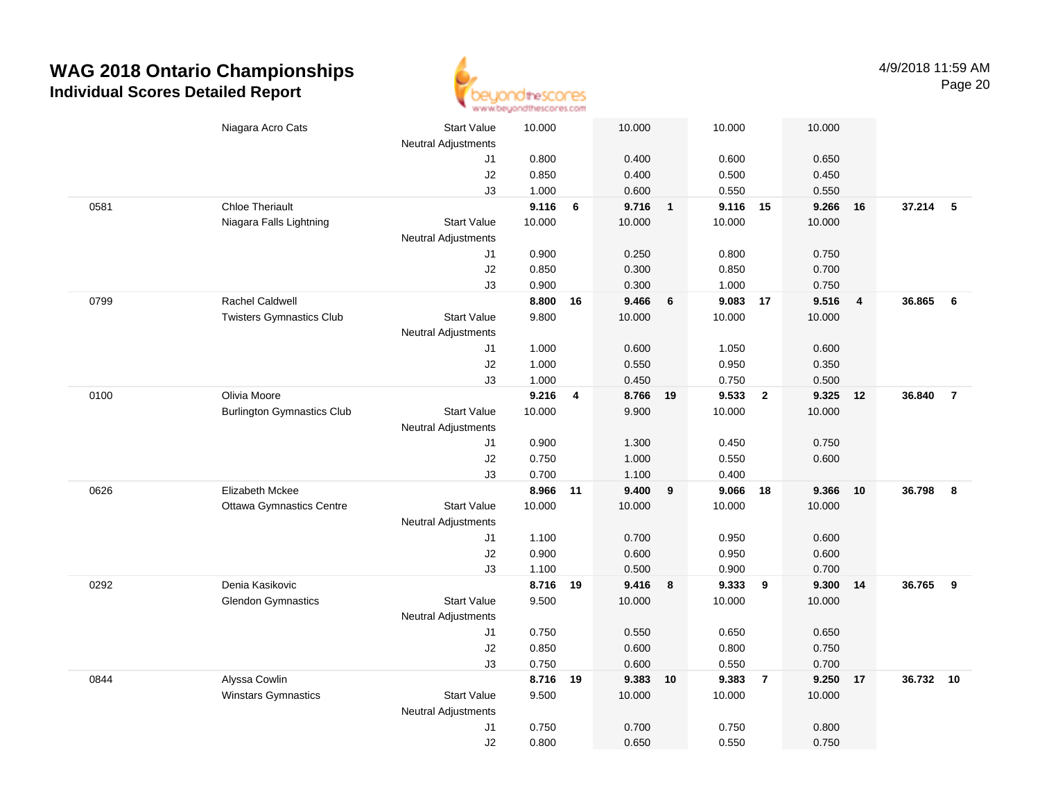

|      | Niagara Acro Cats                 | <b>Start Value</b>         | 10.000         |    | 10.000         |                | 10.000            |                         | 10.000         |                         |          |                |
|------|-----------------------------------|----------------------------|----------------|----|----------------|----------------|-------------------|-------------------------|----------------|-------------------------|----------|----------------|
|      |                                   | <b>Neutral Adjustments</b> | 0.800          |    | 0.400          |                |                   |                         | 0.650          |                         |          |                |
|      |                                   | J1                         |                |    |                |                | 0.600             |                         |                |                         |          |                |
|      |                                   | J2                         | 0.850          |    | 0.400          |                | 0.500             |                         | 0.450          |                         |          |                |
| 0581 | <b>Chloe Theriault</b>            | J3                         | 1.000<br>9.116 | 6  | 0.600<br>9.716 | $\blacksquare$ | 0.550<br>9.116 15 |                         | 0.550<br>9.266 | 16                      | 37.214   | $-5$           |
|      | Niagara Falls Lightning           | <b>Start Value</b>         | 10.000         |    | 10.000         |                | 10.000            |                         | 10.000         |                         |          |                |
|      |                                   | <b>Neutral Adjustments</b> |                |    |                |                |                   |                         |                |                         |          |                |
|      |                                   |                            | 0.900          |    | 0.250          |                | 0.800             |                         | 0.750          |                         |          |                |
|      |                                   | J1<br>J2                   | 0.850          |    | 0.300          |                | 0.850             |                         | 0.700          |                         |          |                |
|      |                                   | J3                         | 0.900          |    | 0.300          |                | 1.000             |                         | 0.750          |                         |          |                |
| 0799 | <b>Rachel Caldwell</b>            |                            | 8.800          | 16 | 9.466          | 6              | 9.083             | 17                      | 9.516          | $\overline{\mathbf{4}}$ | 36.865   | - 6            |
|      | <b>Twisters Gymnastics Club</b>   | <b>Start Value</b>         | 9.800          |    | 10.000         |                | 10.000            |                         | 10.000         |                         |          |                |
|      |                                   | <b>Neutral Adjustments</b> |                |    |                |                |                   |                         |                |                         |          |                |
|      |                                   | J1                         | 1.000          |    | 0.600          |                | 1.050             |                         | 0.600          |                         |          |                |
|      |                                   | J2                         | 1.000          |    | 0.550          |                | 0.950             |                         | 0.350          |                         |          |                |
|      |                                   | J3                         | 1.000          |    | 0.450          |                | 0.750             |                         | 0.500          |                         |          |                |
| 0100 | Olivia Moore                      |                            | 9.216          | 4  | 8.766          | 19             | 9.533             | $\overline{2}$          | 9.325          | 12                      | 36.840   | $\overline{7}$ |
|      | <b>Burlington Gymnastics Club</b> | <b>Start Value</b>         | 10.000         |    | 9.900          |                | 10.000            |                         | 10.000         |                         |          |                |
|      |                                   | <b>Neutral Adjustments</b> |                |    |                |                |                   |                         |                |                         |          |                |
|      |                                   | J1                         | 0.900          |    | 1.300          |                | 0.450             |                         | 0.750          |                         |          |                |
|      |                                   | J2                         | 0.750          |    | 1.000          |                | 0.550             |                         | 0.600          |                         |          |                |
|      |                                   | J3                         | 0.700          |    | 1.100          |                | 0.400             |                         |                |                         |          |                |
| 0626 | Elizabeth Mckee                   |                            | 8.966          | 11 | 9.400          | 9              | 9.066             | 18                      | 9.366          | 10                      | 36.798   | 8              |
|      | <b>Ottawa Gymnastics Centre</b>   | <b>Start Value</b>         | 10.000         |    | 10.000         |                | 10.000            |                         | 10.000         |                         |          |                |
|      |                                   | <b>Neutral Adjustments</b> |                |    |                |                |                   |                         |                |                         |          |                |
|      |                                   | J1                         | 1.100          |    | 0.700          |                | 0.950             |                         | 0.600          |                         |          |                |
|      |                                   | J2                         | 0.900          |    | 0.600          |                | 0.950             |                         | 0.600          |                         |          |                |
|      |                                   | J3                         | 1.100          |    | 0.500          |                | 0.900             |                         | 0.700          |                         |          |                |
| 0292 | Denia Kasikovic                   |                            | 8.716 19       |    | 9.416          | $\bf{8}$       | 9.333             | $\overline{\mathbf{9}}$ | 9.300          | 14                      | 36.765 9 |                |
|      | <b>Glendon Gymnastics</b>         | <b>Start Value</b>         | 9.500          |    | 10.000         |                | 10.000            |                         | 10.000         |                         |          |                |
|      |                                   | Neutral Adjustments        |                |    |                |                |                   |                         |                |                         |          |                |
|      |                                   | J1                         | 0.750          |    | 0.550          |                | 0.650             |                         | 0.650          |                         |          |                |
|      |                                   | J2                         | 0.850          |    | 0.600          |                | 0.800             |                         | 0.750          |                         |          |                |
|      |                                   | J3                         | 0.750          |    | 0.600          |                | 0.550             |                         | 0.700          |                         |          |                |
| 0844 | Alyssa Cowlin                     |                            | 8.716 19       |    | 9.383 10       |                | 9.383             | $\overline{7}$          | 9.250          | 17                      | 36.732   | 10             |
|      | <b>Winstars Gymnastics</b>        | <b>Start Value</b>         | 9.500          |    | 10.000         |                | 10.000            |                         | 10.000         |                         |          |                |
|      |                                   | <b>Neutral Adjustments</b> |                |    |                |                |                   |                         |                |                         |          |                |
|      |                                   | J1                         | 0.750          |    | 0.700          |                | 0.750             |                         | 0.800          |                         |          |                |
|      |                                   | J2                         | 0.800          |    | 0.650          |                | 0.550             |                         | 0.750          |                         |          |                |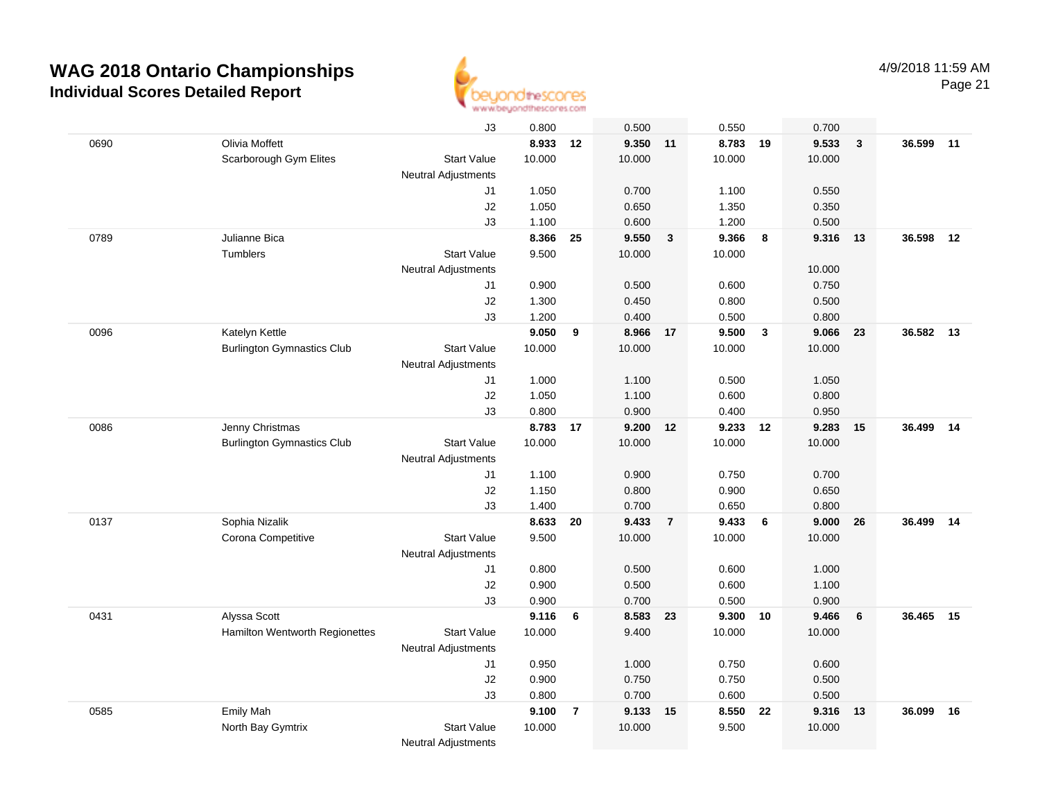

|      |                                   | J3                         | 0.800          |                | 0.500          |                | 0.550             |                         | 0.700          |                         |        |    |
|------|-----------------------------------|----------------------------|----------------|----------------|----------------|----------------|-------------------|-------------------------|----------------|-------------------------|--------|----|
| 0690 | Olivia Moffett                    |                            | 8.933          | 12             | 9.350 11       |                | 8.783 19          |                         | 9.533          | $\overline{\mathbf{3}}$ | 36.599 | 11 |
|      | Scarborough Gym Elites            | <b>Start Value</b>         | 10.000         |                | 10.000         |                | 10.000            |                         | 10.000         |                         |        |    |
|      |                                   | <b>Neutral Adjustments</b> |                |                |                |                |                   |                         |                |                         |        |    |
|      |                                   | J1                         | 1.050          |                | 0.700          |                | 1.100             |                         | 0.550          |                         |        |    |
|      |                                   | J2                         | 1.050          |                | 0.650          |                | 1.350             |                         | 0.350          |                         |        |    |
|      |                                   | J3                         | 1.100          |                | 0.600          |                | 1.200             |                         | 0.500          |                         |        |    |
| 0789 | Julianne Bica                     |                            | 8.366          | 25             | 9.550          | $\mathbf{3}$   | 9.366             | 8                       | 9.316          | 13                      | 36.598 | 12 |
|      | Tumblers                          | <b>Start Value</b>         | 9.500          |                | 10.000         |                | 10.000            |                         |                |                         |        |    |
|      |                                   | Neutral Adjustments        |                |                |                |                |                   |                         | 10.000         |                         |        |    |
|      |                                   | J1                         | 0.900          |                | 0.500          |                | 0.600             |                         | 0.750          |                         |        |    |
|      |                                   | J2                         | 1.300          |                | 0.450          |                | 0.800             |                         | 0.500          |                         |        |    |
|      |                                   | J3                         | 1.200          |                | 0.400          |                | 0.500             |                         | 0.800          |                         |        |    |
| 0096 | Katelyn Kettle                    |                            | 9.050          | 9              | 8.966 17       |                | 9.500             | $\overline{\mathbf{3}}$ | 9.066          | 23                      | 36.582 | 13 |
|      | <b>Burlington Gymnastics Club</b> | <b>Start Value</b>         | 10.000         |                | 10.000         |                | 10.000            |                         | 10.000         |                         |        |    |
|      |                                   | <b>Neutral Adjustments</b> |                |                |                |                |                   |                         |                |                         |        |    |
|      |                                   | J1                         | 1.000          |                | 1.100          |                | 0.500             |                         | 1.050          |                         |        |    |
|      |                                   | J2                         | 1.050          |                | 1.100          |                | 0.600             |                         | 0.800          |                         |        |    |
|      |                                   | J3                         | 0.800          |                | 0.900          |                | 0.400             |                         | 0.950          |                         |        |    |
| 0086 | Jenny Christmas                   |                            | 8.783 17       |                | 9.200 12       |                | 9.233             | 12                      | 9.283          | 15                      | 36.499 | 14 |
|      | <b>Burlington Gymnastics Club</b> | <b>Start Value</b>         | 10.000         |                | 10.000         |                | 10.000            |                         | 10.000         |                         |        |    |
|      |                                   | <b>Neutral Adjustments</b> |                |                |                |                |                   |                         |                |                         |        |    |
|      |                                   | J1                         | 1.100          |                | 0.900          |                | 0.750             |                         | 0.700          |                         |        |    |
|      |                                   | J2                         | 1.150          |                | 0.800          |                | 0.900             |                         | 0.650          |                         |        |    |
|      |                                   | J3                         | 1.400          |                | 0.700          |                | 0.650             |                         | 0.800          |                         |        |    |
| 0137 | Sophia Nizalik                    |                            | 8.633          | 20             | 9.433          | $\overline{7}$ | 9.433             | 6                       | 9.000          | 26                      | 36.499 | 14 |
|      | Corona Competitive                | Start Value                | 9.500          |                | 10.000         |                | 10.000            |                         | 10.000         |                         |        |    |
|      |                                   | <b>Neutral Adjustments</b> |                |                |                |                |                   |                         |                |                         |        |    |
|      |                                   | J1                         | 0.800          |                | 0.500          |                | 0.600             |                         | 1.000          |                         |        |    |
|      |                                   | J2                         | 0.900          |                | 0.500<br>0.700 |                | 0.600             |                         | 1.100          |                         |        |    |
| 0431 | Alyssa Scott                      | J3                         | 0.900<br>9.116 | 6              | 8.583 23       |                | 0.500<br>9.300 10 |                         | 0.900<br>9.466 | 6                       | 36.465 | 15 |
|      | Hamilton Wentworth Regionettes    | <b>Start Value</b>         | 10.000         |                | 9.400          |                | 10.000            |                         | 10.000         |                         |        |    |
|      |                                   |                            |                |                |                |                |                   |                         |                |                         |        |    |
|      |                                   | <b>Neutral Adjustments</b> | 0.950          |                | 1.000          |                |                   |                         |                |                         |        |    |
|      |                                   | J1<br>J2                   | 0.900          |                | 0.750          |                | 0.750<br>0.750    |                         | 0.600<br>0.500 |                         |        |    |
|      |                                   | J3                         | 0.800          |                | 0.700          |                | 0.600             |                         | 0.500          |                         |        |    |
| 0585 | <b>Emily Mah</b>                  |                            | 9.100          | $\overline{7}$ | 9.133          | 15             | 8.550             | 22                      | 9.316          | 13                      | 36.099 | 16 |
|      | North Bay Gymtrix                 | <b>Start Value</b>         | 10.000         |                | 10.000         |                | 9.500             |                         | 10.000         |                         |        |    |
|      |                                   | <b>Neutral Adjustments</b> |                |                |                |                |                   |                         |                |                         |        |    |
|      |                                   |                            |                |                |                |                |                   |                         |                |                         |        |    |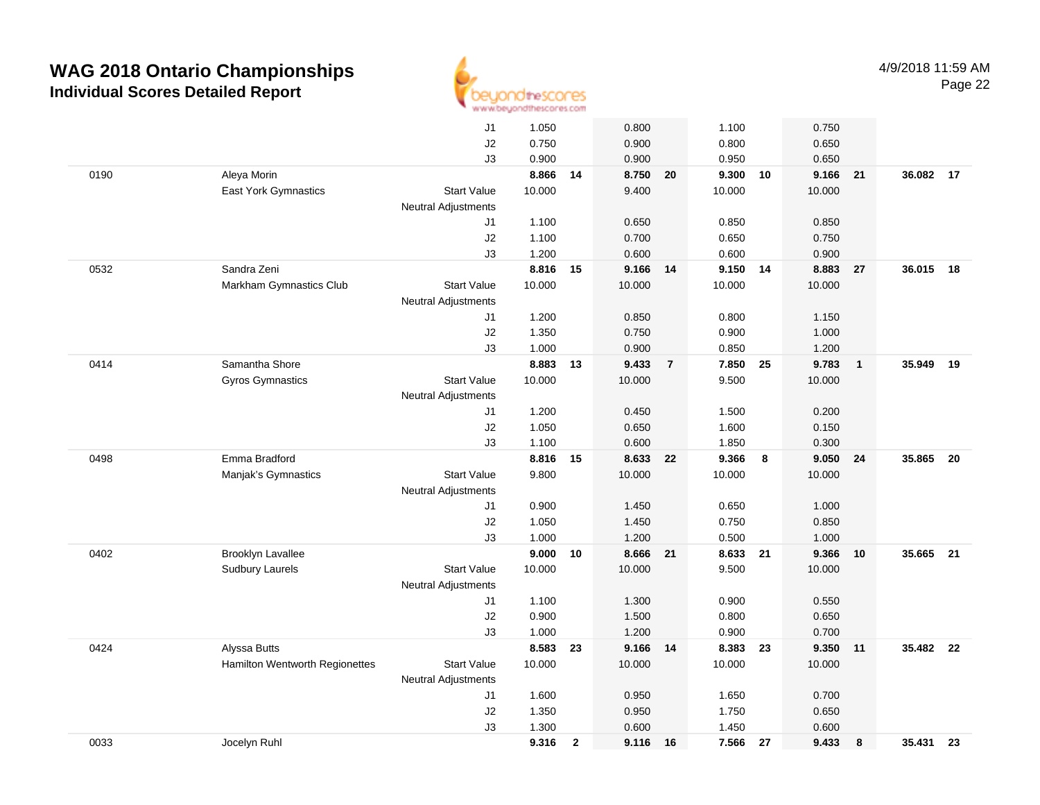

|      |                                | J1                         | 1.050  |                | 0.800    |                | 1.100    |    | 0.750  |                |           |    |
|------|--------------------------------|----------------------------|--------|----------------|----------|----------------|----------|----|--------|----------------|-----------|----|
|      |                                | J2                         | 0.750  |                | 0.900    |                | 0.800    |    | 0.650  |                |           |    |
|      |                                | J3                         | 0.900  |                | 0.900    |                | 0.950    |    | 0.650  |                |           |    |
| 0190 | Aleya Morin                    |                            | 8.866  | 14             | 8.750 20 |                | 9.300 10 |    | 9.166  | 21             | 36.082 17 |    |
|      | East York Gymnastics           | <b>Start Value</b>         | 10.000 |                | 9.400    |                | 10.000   |    | 10.000 |                |           |    |
|      |                                | <b>Neutral Adjustments</b> |        |                |          |                |          |    |        |                |           |    |
|      |                                | J1                         | 1.100  |                | 0.650    |                | 0.850    |    | 0.850  |                |           |    |
|      |                                | J2                         | 1.100  |                | 0.700    |                | 0.650    |    | 0.750  |                |           |    |
|      |                                | J3                         | 1.200  |                | 0.600    |                | 0.600    |    | 0.900  |                |           |    |
| 0532 | Sandra Zeni                    |                            | 8.816  | 15             | 9.166 14 |                | 9.150 14 |    | 8.883  | 27             | 36.015    | 18 |
|      | Markham Gymnastics Club        | <b>Start Value</b>         | 10.000 |                | 10.000   |                | 10.000   |    | 10.000 |                |           |    |
|      |                                | Neutral Adjustments        |        |                |          |                |          |    |        |                |           |    |
|      |                                | J1                         | 1.200  |                | 0.850    |                | 0.800    |    | 1.150  |                |           |    |
|      |                                | J2                         | 1.350  |                | 0.750    |                | 0.900    |    | 1.000  |                |           |    |
|      |                                | J3                         | 1.000  |                | 0.900    |                | 0.850    |    | 1.200  |                |           |    |
| 0414 | Samantha Shore                 |                            | 8.883  | 13             | 9.433    | $\overline{7}$ | 7.850    | 25 | 9.783  | $\overline{1}$ | 35.949    | 19 |
|      | <b>Gyros Gymnastics</b>        | <b>Start Value</b>         | 10.000 |                | 10.000   |                | 9.500    |    | 10.000 |                |           |    |
|      |                                | <b>Neutral Adjustments</b> |        |                |          |                |          |    |        |                |           |    |
|      |                                | J1                         | 1.200  |                | 0.450    |                | 1.500    |    | 0.200  |                |           |    |
|      |                                | J2                         | 1.050  |                | 0.650    |                | 1.600    |    | 0.150  |                |           |    |
|      |                                | J3                         | 1.100  |                | 0.600    |                | 1.850    |    | 0.300  |                |           |    |
| 0498 | Emma Bradford                  |                            | 8.816  | 15             | 8.633    | 22             | 9.366    | 8  | 9.050  | 24             | 35.865    | 20 |
|      | Manjak's Gymnastics            | <b>Start Value</b>         | 9.800  |                | 10.000   |                | 10.000   |    | 10.000 |                |           |    |
|      |                                | <b>Neutral Adjustments</b> |        |                |          |                |          |    |        |                |           |    |
|      |                                | J1                         | 0.900  |                | 1.450    |                | 0.650    |    | 1.000  |                |           |    |
|      |                                | J <sub>2</sub>             | 1.050  |                | 1.450    |                | 0.750    |    | 0.850  |                |           |    |
|      |                                | J3                         | 1.000  |                | 1.200    |                | 0.500    |    | 1.000  |                |           |    |
| 0402 | <b>Brooklyn Lavallee</b>       |                            | 9.000  | 10             | 8.666 21 |                | 8.633 21 |    | 9.366  | 10             | 35.665    | 21 |
|      | <b>Sudbury Laurels</b>         | <b>Start Value</b>         | 10.000 |                | 10.000   |                | 9.500    |    | 10.000 |                |           |    |
|      |                                | <b>Neutral Adjustments</b> |        |                |          |                |          |    |        |                |           |    |
|      |                                | J1                         | 1.100  |                | 1.300    |                | 0.900    |    | 0.550  |                |           |    |
|      |                                | J2                         | 0.900  |                | 1.500    |                | 0.800    |    | 0.650  |                |           |    |
|      |                                | J3                         | 1.000  |                | 1.200    |                | 0.900    |    | 0.700  |                |           |    |
| 0424 | Alyssa Butts                   |                            | 8.583  | 23             | 9.166 14 |                | 8.383    | 23 | 9.350  | 11             | 35.482 22 |    |
|      | Hamilton Wentworth Regionettes | <b>Start Value</b>         | 10.000 |                | 10.000   |                | 10.000   |    | 10.000 |                |           |    |
|      |                                | Neutral Adjustments        |        |                |          |                |          |    |        |                |           |    |
|      |                                | J1                         | 1.600  |                | 0.950    |                | 1.650    |    | 0.700  |                |           |    |
|      |                                | J2                         | 1.350  |                | 0.950    |                | 1.750    |    | 0.650  |                |           |    |
|      |                                | J3                         | 1.300  |                | 0.600    |                | 1.450    |    | 0.600  |                |           |    |
| 0033 | Jocelyn Ruhl                   |                            | 9.316  | $\overline{2}$ | 9.116    | 16             | 7.566    | 27 | 9.433  | 8              | 35.431 23 |    |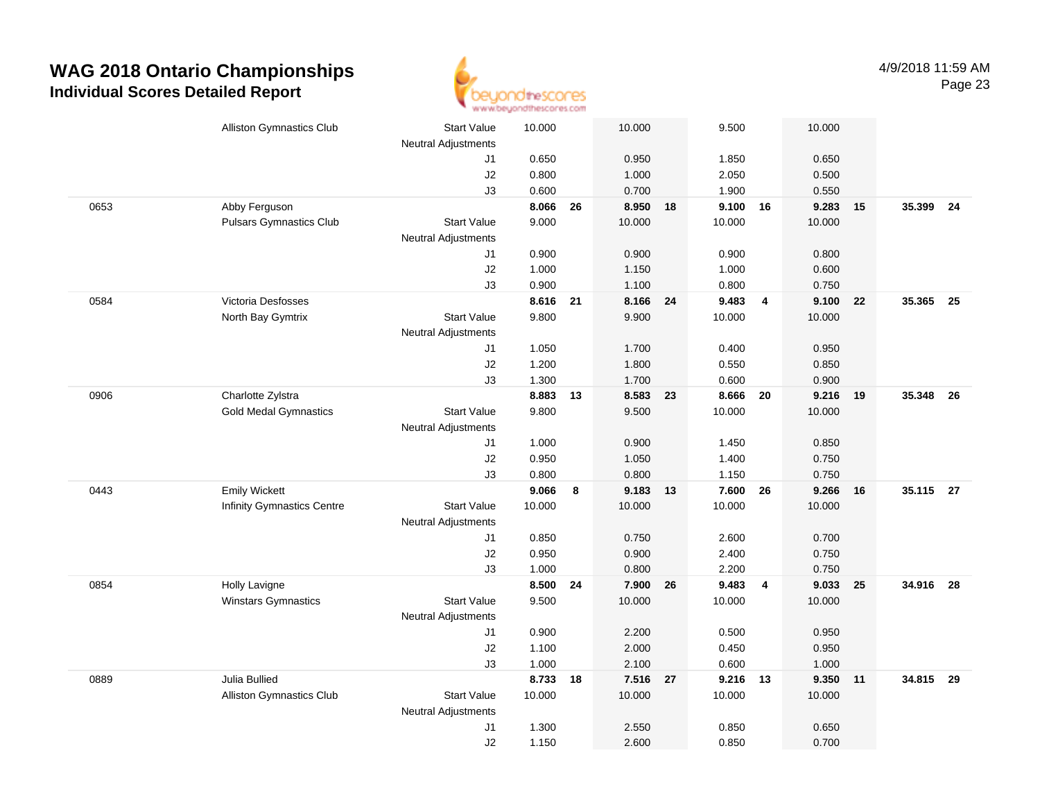

|      | <b>Alliston Gymnastics Club</b> | <b>Start Value</b>         | 10.000 |    | 10.000   |    | 9.500    |                | 10.000 |    |           |    |
|------|---------------------------------|----------------------------|--------|----|----------|----|----------|----------------|--------|----|-----------|----|
|      |                                 | Neutral Adjustments        |        |    |          |    |          |                |        |    |           |    |
|      |                                 | J1                         | 0.650  |    | 0.950    |    | 1.850    |                | 0.650  |    |           |    |
|      |                                 | J2                         | 0.800  |    | 1.000    |    | 2.050    |                | 0.500  |    |           |    |
|      |                                 | J3                         | 0.600  |    | 0.700    |    | 1.900    |                | 0.550  |    |           |    |
| 0653 | Abby Ferguson                   |                            | 8.066  | 26 | 8.950    | 18 | 9.100 16 |                | 9.283  | 15 | 35.399 24 |    |
|      | <b>Pulsars Gymnastics Club</b>  | <b>Start Value</b>         | 9.000  |    | 10.000   |    | 10.000   |                | 10.000 |    |           |    |
|      |                                 | <b>Neutral Adjustments</b> |        |    |          |    |          |                |        |    |           |    |
|      |                                 | J1                         | 0.900  |    | 0.900    |    | 0.900    |                | 0.800  |    |           |    |
|      |                                 | J2                         | 1.000  |    | 1.150    |    | 1.000    |                | 0.600  |    |           |    |
|      |                                 | J3                         | 0.900  |    | 1.100    |    | 0.800    |                | 0.750  |    |           |    |
| 0584 | Victoria Desfosses              |                            | 8.616  | 21 | 8.166    | 24 | 9.483    | $\overline{4}$ | 9.100  | 22 | 35.365    | 25 |
|      | North Bay Gymtrix               | <b>Start Value</b>         | 9.800  |    | 9.900    |    | 10.000   |                | 10.000 |    |           |    |
|      |                                 | <b>Neutral Adjustments</b> |        |    |          |    |          |                |        |    |           |    |
|      |                                 | J1                         | 1.050  |    | 1.700    |    | 0.400    |                | 0.950  |    |           |    |
|      |                                 | J2                         | 1.200  |    | 1.800    |    | 0.550    |                | 0.850  |    |           |    |
|      |                                 | J3                         | 1.300  |    | 1.700    |    | 0.600    |                | 0.900  |    |           |    |
| 0906 | Charlotte Zylstra               |                            | 8.883  | 13 | 8.583    | 23 | 8.666    | 20             | 9.216  | 19 | 35.348 26 |    |
|      | <b>Gold Medal Gymnastics</b>    | <b>Start Value</b>         | 9.800  |    | 9.500    |    | 10.000   |                | 10.000 |    |           |    |
|      |                                 | <b>Neutral Adjustments</b> |        |    |          |    |          |                |        |    |           |    |
|      |                                 | J1                         | 1.000  |    | 0.900    |    | 1.450    |                | 0.850  |    |           |    |
|      |                                 | J2                         | 0.950  |    | 1.050    |    | 1.400    |                | 0.750  |    |           |    |
|      |                                 | J3                         | 0.800  |    | 0.800    |    | 1.150    |                | 0.750  |    |           |    |
| 0443 | <b>Emily Wickett</b>            |                            | 9.066  | 8  | 9.183    | 13 | 7.600    | 26             | 9.266  | 16 | 35.115 27 |    |
|      | Infinity Gymnastics Centre      | <b>Start Value</b>         | 10.000 |    | 10.000   |    | 10.000   |                | 10.000 |    |           |    |
|      |                                 | <b>Neutral Adjustments</b> |        |    |          |    |          |                |        |    |           |    |
|      |                                 | J1                         | 0.850  |    | 0.750    |    | 2.600    |                | 0.700  |    |           |    |
|      |                                 | J2                         | 0.950  |    | 0.900    |    | 2.400    |                | 0.750  |    |           |    |
|      |                                 | J3                         | 1.000  |    | 0.800    |    | 2.200    |                | 0.750  |    |           |    |
| 0854 | Holly Lavigne                   |                            | 8.500  | 24 | 7.900    | 26 | 9.483    | $\overline{4}$ | 9.033  | 25 | 34.916 28 |    |
|      | <b>Winstars Gymnastics</b>      | <b>Start Value</b>         | 9.500  |    | 10.000   |    | 10.000   |                | 10.000 |    |           |    |
|      |                                 | <b>Neutral Adjustments</b> |        |    |          |    |          |                |        |    |           |    |
|      |                                 | J1                         | 0.900  |    | 2.200    |    | 0.500    |                | 0.950  |    |           |    |
|      |                                 | J2                         | 1.100  |    | 2.000    |    | 0.450    |                | 0.950  |    |           |    |
|      |                                 | J3                         | 1.000  |    | 2.100    |    | 0.600    |                | 1.000  |    |           |    |
| 0889 | Julia Bullied                   |                            | 8.733  | 18 | 7.516 27 |    | 9.216 13 |                | 9.350  | 11 | 34.815 29 |    |
|      | <b>Alliston Gymnastics Club</b> | Start Value                | 10.000 |    | 10.000   |    | 10.000   |                | 10.000 |    |           |    |
|      |                                 | <b>Neutral Adjustments</b> |        |    |          |    |          |                |        |    |           |    |
|      |                                 | J1                         | 1.300  |    | 2.550    |    | 0.850    |                | 0.650  |    |           |    |
|      |                                 | J2                         | 1.150  |    | 2.600    |    | 0.850    |                | 0.700  |    |           |    |
|      |                                 |                            |        |    |          |    |          |                |        |    |           |    |